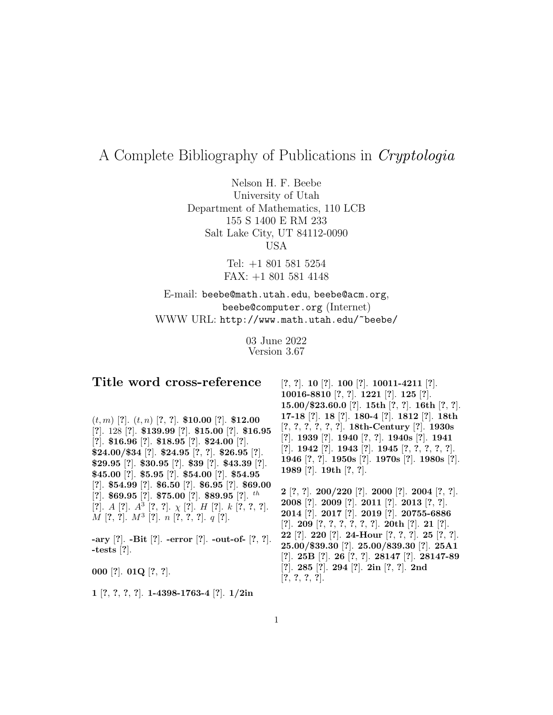## A Complete Bibliography of Publications in Cryptologia

Nelson H. F. Beebe University of Utah Department of Mathematics, 110 LCB 155 S 1400 E RM 233 Salt Lake City, UT 84112-0090 USA

> Tel: +1 801 581 5254 FAX: +1 801 581 4148

E-mail: beebe@math.utah.edu, beebe@acm.org, beebe@computer.org (Internet) WWW URL: http://www.math.utah.edu/~beebe/

> 03 June 2022 Version 3.67

## **Title word cross-reference**

(t, m) [**?**]. (t, n) [**?**, **?**]. **\$10.00** [**?**]. **\$12.00** [**?**]. 128 [**?**]. **\$139.99** [**?**]. **\$15.00** [**?**]. **\$16.95** [**?**]. **\$16.96** [**?**]. **\$18.95** [**?**]. **\$24.00** [**?**]. **\$24.00/\$34** [**?**]. **\$24.95** [**?**, **?**]. **\$26.95** [**?**]. **\$29.95** [**?**]. **\$30.95** [**?**]. **\$39** [**?**]. **\$43.39** [**?**]. **\$45.00** [**?**]. **\$5.95** [**?**]. **\$54.00** [**?**]. **\$54.95** [**?**]. **\$54.99** [**?**]. **\$6.50** [**?**]. **\$6.95** [**?**]. **\$69.00** [**?**]. **\$69.95** [**?**]. **\$75.00** [**?**]. **\$89.95** [**?**]. th [**?**]. A [**?**]. A<sup>3</sup> [**?**, **?**]. χ [**?**]. H [**?**]. k [**?**, **?**, **?**]. M [**?**, **?**]. M<sup>3</sup> [**?**]. n [**?**, **?**, **?**]. q [**?**].

**-ary** [**?**]. **-Bit** [**?**]. **-error** [**?**]. **-out-of-** [**?**, **?**]. **-tests** [**?**].

**000** [**?**]. **01Q** [**?**, **?**].

**1** [**?**, **?**, **?**, **?**]. **1-4398-1763-4** [**?**]. **1/2in**

[**?**, **?**]. **10** [**?**]. **100** [**?**]. **10011-4211** [**?**]. **10016-8810** [**?**, **?**]. **1221** [**?**]. **125** [**?**]. **15.00/\$23.60.0** [**?**]. **15th** [**?**, **?**]. **16th** [**?**, **?**]. **17-18** [**?**]. **18** [**?**]. **180-4** [**?**]. **1812** [**?**]. **18th** [**?**, **?**, **?**, **?**, **?**, **?**]. **18th-Century** [**?**]. **1930s** [**?**]. **1939** [**?**]. **1940** [**?**, **?**]. **1940s** [**?**]. **1941** [**?**]. **1942** [**?**]. **1943** [**?**]. **1945** [**?**, **?**, **?**, **?**, **?**]. **1946** [**?**, **?**]. **1950s** [**?**]. **1970s** [**?**]. **1980s** [**?**]. **1989** [**?**]. **19th** [**?**, **?**].

**2** [**?**, **?**]. **200/220** [**?**]. **2000** [**?**]. **2004** [**?**, **?**]. **2008** [**?**]. **2009** [**?**]. **2011** [**?**]. **2013** [**?**, **?**]. **2014** [**?**]. **2017** [**?**]. **2019** [**?**]. **20755-6886** [**?**]. **209** [**?**, **?**, **?**, **?**, **?**, **?**]. **20th** [**?**]. **21** [**?**]. **22** [**?**]. **220** [**?**]. **24-Hour** [**?**, **?**, **?**]. **25** [**?**, **?**]. **25.00/\$39.30** [**?**]. **25.00/839.30** [**?**]. **25A1** [**?**]. **25B** [**?**]. **26** [**?**, **?**]. **28147** [**?**]. **28147-89** [**?**]. **285** [**?**]. **294** [**?**]. **2in** [**?**, **?**]. **2nd** [**?**, **?**, **?**, **?**].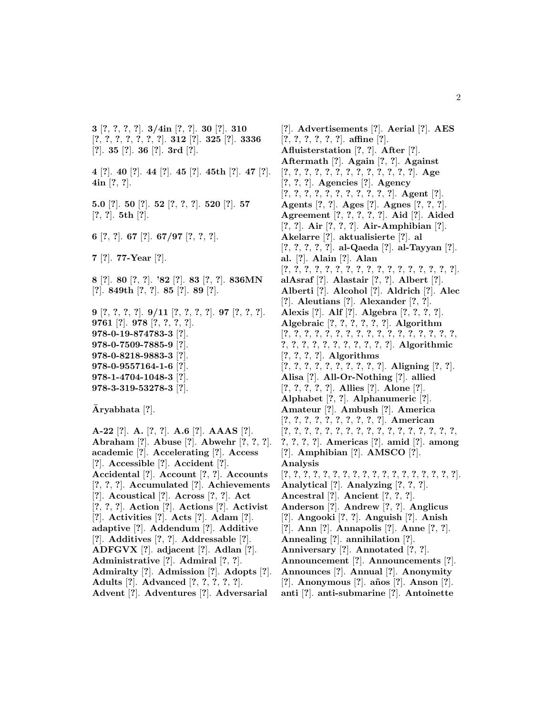**3** [**?**, **?**, **?**, **?**]. **3/4in** [**?**, **?**]. **30** [**?**]. **310** [**?**, **?**, **?**, **?**, **?**, **?**, **?**]. **312** [**?**]. **325** [**?**]. **3336** [**?**]. **35** [**?**]. **36** [**?**]. **3rd** [**?**].

**4** [**?**]. **40** [**?**]. **44** [**?**]. **45** [**?**]. **45th** [**?**]. **47** [**?**]. **4in** [**?**, **?**].

**5.0** [**?**]. **50** [**?**]. **52** [**?**, **?**, **?**]. **520** [**?**]. **57** [**?**, **?**]. **5th** [**?**].

**6** [**?**, **?**]. **67** [**?**]. **67/97** [**?**, **?**, **?**].

**7** [**?**]. **77-Year** [**?**].

**8** [**?**]. **80** [**?**, **?**]. **'82** [**?**]. **83** [**?**, **?**]. **836MN** [**?**]. **849th** [**?**, **?**]. **85** [**?**]. **89** [**?**].

**9** [**?**, **?**, **?**, **?**]. **9/11** [**?**, **?**, **?**, **?**]. **97** [**?**, **?**, **?**]. **9761** [**?**]. **978** [**?**, **?**, **?**, **?**]. **978-0-19-874783-3** [**?**]. **978-0-7509-7885-9** [**?**]. **978-0-8218-9883-3** [**?**]. **978-0-9557164-1-6** [**?**]. **978-1-4704-1048-3** [**?**]. **978-3-319-53278-3** [**?**].

**Aryabhata ¯** [**?**].

**A-22** [**?**]. **A.** [**?**, **?**]. **A.6** [**?**]. **AAAS** [**?**]. **Abraham** [**?**]. **Abuse** [**?**]. **Abwehr** [**?**, **?**, **?**]. **academic** [**?**]. **Accelerating** [**?**]. **Access** [**?**]. **Accessible** [**?**]. **Accident** [**?**]. **Accidental** [**?**]. **Account** [**?**, **?**]. **Accounts** [**?**, **?**, **?**]. **Accumulated** [**?**]. **Achievements** [**?**]. **Acoustical** [**?**]. **Across** [**?**, **?**]. **Act** [**?**, **?**, **?**]. **Action** [**?**]. **Actions** [**?**]. **Activist** [**?**]. **Activities** [**?**]. **Acts** [**?**]. **Adam** [**?**]. **adaptive** [**?**]. **Addendum** [**?**]. **Additive** [**?**]. **Additives** [**?**, **?**]. **Addressable** [**?**]. **ADFGVX** [**?**]. **adjacent** [**?**]. **Adlan** [**?**]. **Administrative** [**?**]. **Admiral** [**?**, **?**]. **Admiralty** [**?**]. **Admission** [**?**]. **Adopts** [**?**]. **Adults** [**?**]. **Advanced** [**?**, **?**, **?**, **?**, **?**]. **Advent** [**?**]. **Adventures** [**?**]. **Adversarial**

[**?**]. **Advertisements** [**?**]. **Aerial** [**?**]. **AES** [**?**, **?**, **?**, **?**, **?**, **?**]. **affine** [**?**]. **Afluisterstation** [**?**, **?**]. **After** [**?**]. **Aftermath** [**?**]. **Again** [**?**, **?**]. **Against** [**?**, **?**, **?**, **?**, **?**, **?**, **?**, **?**, **?**, **?**, **?**, **?**, **?**]. **Age** [**?**, **?**, **?**]. **Agencies** [**?**]. **Agency** [**?**, **?**, **?**, **?**, **?**, **?**, **?**, **?**, **?**, **?**, **?**]. **Agent** [**?**]. **Agents** [**?**, **?**]. **Ages** [**?**]. **Agnes** [**?**, **?**, **?**]. **Agreement** [**?**, **?**, **?**, **?**, **?**]. **Aid** [**?**]. **Aided** [**?**, **?**]. **Air** [**?**, **?**, **?**]. **Air-Amphibian** [**?**]. **Akelarre** [**?**]. **aktualisierte** [**?**]. **al** [**?**, **?**, **?**, **?**, **?**]. **al-Qaeda** [**?**]. **al-Tayyan** [**?**]. **al.** [**?**]. **Alain** [**?**]. **Alan** [**?**, **?**, **?**, **?**, **?**, **?**, **?**, **?**, **?**, **?**, **?**, **?**, **?**, **?**, **?**, **?**, **?**]. **alAsraf** [**?**]. **Alastair** [**?**, **?**]. **Albert** [**?**]. **Alberti** [**?**]. **Alcohol** [**?**]. **Aldrich** [**?**]. **Alec** [**?**]. **Aleutians** [**?**]. **Alexander** [**?**, **?**]. **Alexis** [**?**]. **Alf** [**?**]. **Algebra** [**?**, **?**, **?**, **?**]. **Algebraic** [**?**, **?**, **?**, **?**, **?**, **?**]. **Algorithm** [**?**, **?**, **?**, **?**, **?**, **?**, **?**, **?**, **?**, **?**, **?**, **?**, **?**, **?**, **?**, **?**, **?**, **?**, **?**, **?**, **?**, **?**, **?**, **?**, **?**, **?**, **?**, **?**]. **Algorithmic** [**?**, **?**, **?**, **?**]. **Algorithms** [**?**, **?**, **?**, **?**, **?**, **?**, **?**, **?**, **?**, **?**]. **Aligning** [**?**, **?**]. **Alisa** [**?**]. **All-Or-Nothing** [**?**]. **allied** [**?**, **?**, **?**, **?**, **?**]. **Allies** [**?**]. **Alone** [**?**]. **Alphabet** [**?**, **?**]. **Alphanumeric** [**?**]. **Amateur** [**?**]. **Ambush** [**?**]. **America** [**?**, **?**, **?**, **?**, **?**, **?**, **?**, **?**, **?**, **?**]. **American** [**?**, **?**, **?**, **?**, **?**, **?**, **?**, **?**, **?**, **?**, **?**, **?**, **?**, **?**, **?**, **?**, **?**, **?**, **?**, **?**, **?**]. **Americas** [**?**]. **amid** [**?**]. **among** [**?**]. **Amphibian** [**?**]. **AMSCO** [**?**]. **Analysis** [**?**, **?**, **?**, **?**, **?**, **?**, **?**, **?**, **?**, **?**, **?**, **?**, **?**, **?**, **?**, **?**, **?**, **?**]. **Analytical** [**?**]. **Analyzing** [**?**, **?**, **?**]. **Ancestral** [**?**]. **Ancient** [**?**, **?**, **?**]. **Anderson** [**?**]. **Andrew** [**?**, **?**]. **Anglicus** [**?**]. **Angooki** [**?**, **?**]. **Anguish** [**?**]. **Anish** [**?**]. **Ann** [**?**]. **Annapolis** [**?**]. **Anne** [**?**, **?**]. **Annealing** [**?**]. **annihilation** [**?**]. **Anniversary** [**?**]. **Annotated** [**?**, **?**]. **Announcement** [**?**]. **Announcements** [**?**]. **Announces** [**?**]. **Annual** [**?**]. **Anonymity** [**?**]. **Anonymous** [**?**]. **a˜nos** [**?**]. **Anson** [**?**]. **anti** [**?**]. **anti-submarine** [**?**]. **Antoinette**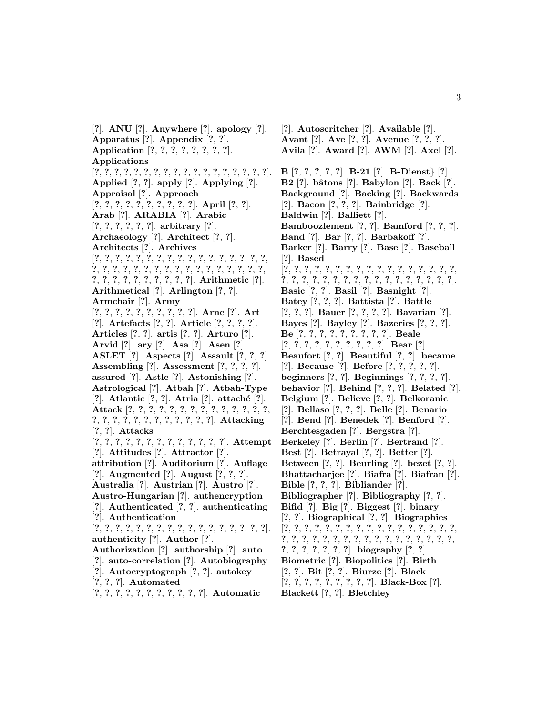[**?**]. **ANU** [**?**]. **Anywhere** [**?**]. **apology** [**?**]. **Apparatus** [**?**]. **Appendix** [**?**, **?**]. **Application** [**?**, **?**, **?**, **?**, **?**, **?**, **?**, **?**]. **Applications** [**?**, **?**, **?**, **?**, **?**, **?**, **?**, **?**, **?**, **?**, **?**, **?**, **?**, **?**, **?**, **?**, **?**, **?**]. **Applied** [**?**, **?**]. **apply** [**?**]. **Applying** [**?**]. **Appraisal** [**?**]. **Approach** [**?**, **?**, **?**, **?**, **?**, **?**, **?**, **?**, **?**, **?**]. **April** [**?**, **?**]. **Arab** [**?**]. **ARABIA** [**?**]. **Arabic** [**?**, **?**, **?**, **?**, **?**, **?**]. **arbitrary** [**?**]. **Archaeology** [**?**]. **Architect** [**?**, **?**]. **Architects** [**?**]. **Archives** [**?**, **?**, **?**, **?**, **?**, **?**, **?**, **?**, **?**, **?**, **?**, **?**, **?**, **?**, **?**, **?**, **?**, **?**, **?**, **?**, **?**, **?**, **?**, **?**, **?**, **?**, **?**, **?**, **?**, **?**, **?**, **?**, **?**, **?**, **?**, **?**, **?**, **?**, **?**, **?**, **?**, **?**, **?**, **?**]. **Arithmetic** [**?**]. **Arithmetical** [**?**]. **Arlington** [**?**, **?**]. **Armchair** [**?**]. **Army** [**?**, **?**, **?**, **?**, **?**, **?**, **?**, **?**, **?**, **?**]. **Arne** [**?**]. **Art** [**?**]. **Artefacts** [**?**, **?**]. **Article** [**?**, **?**, **?**, **?**]. **Articles** [**?**, **?**]. **artis** [**?**, **?**]. **Arturo** [**?**]. **Arvid** [**?**]. **ary** [**?**]. **Asa** [**?**]. **Asen** [**?**]. **ASLET** [**?**]. **Aspects** [**?**]. **Assault** [**?**, **?**, **?**]. **Assembling** [**?**]. **Assessment** [**?**, **?**, **?**, **?**]. **assured** [**?**]. **Astle** [**?**]. **Astonishing** [**?**]. **Astrological** [**?**]. **Atbah** [**?**]. **Atbah-Type** [**?**]. **Atlantic** [**?**, **?**]. **Atria** [**?**]. **attach´e** [**?**]. **Attack** [**?**, **?**, **?**, **?**, **?**, **?**, **?**, **?**, **?**, **?**, **?**, **?**, **?**, **?**, **?**, **?**, **?**, **?**, **?**, **?**, **?**, **?**, **?**, **?**, **?**, **?**]. **Attacking** [**?**, **?**]. **Attacks** [**?**, **?**, **?**, **?**, **?**, **?**, **?**, **?**, **?**, **?**, **?**, **?**, **?**]. **Attempt** [**?**]. **Attitudes** [**?**]. **Attractor** [**?**]. **attribution** [**?**]. **Auditorium** [**?**]. **Auflage** [**?**]. **Augmented** [**?**]. **August** [**?**, **?**, **?**]. **Australia** [**?**]. **Austrian** [**?**]. **Austro** [**?**]. **Austro-Hungarian** [**?**]. **authencryption** [**?**]. **Authenticated** [**?**, **?**]. **authenticating** [**?**]. **Authentication** [**?**, **?**, **?**, **?**, **?**, **?**, **?**, **?**, **?**, **?**, **?**, **?**, **?**, **?**, **?**, **?**, **?**]. **authenticity** [**?**]. **Author** [**?**]. **Authorization** [**?**]. **authorship** [**?**]. **auto** [**?**]. **auto-correlation** [**?**]. **Autobiography** [**?**]. **Autocryptograph** [**?**, **?**]. **autokey** [**?**, **?**, **?**]. **Automated** [**?**, **?**, **?**, **?**, **?**, **?**, **?**, **?**, **?**, **?**, **?**]. **Automatic**

[**?**]. **Autoscritcher** [**?**]. **Available** [**?**]. **Avant** [**?**]. **Ave** [**?**, **?**]. **Avenue** [**?**, **?**, **?**]. **Avila** [**?**]. **Award** [**?**]. **AWM** [**?**]. **Axel** [**?**]. **B** [**?**, **?**, **?**, **?**, **?**]. **B-21** [**?**]. **B-Dienst**} [**?**]. **B2** [**?**]. **bˆatons** [**?**]. **Babylon** [**?**]. **Back** [**?**]. **Background** [**?**]. **Backing** [**?**]. **Backwards** [**?**]. **Bacon** [**?**, **?**, **?**]. **Bainbridge** [**?**]. **Baldwin** [**?**]. **Balliett** [**?**]. **Bamboozlement** [**?**, **?**]. **Bamford** [**?**, **?**, **?**]. **Band** [**?**]. **Bar** [**?**, **?**]. **Barbakoff** [**?**]. **Barker** [**?**]. **Barry** [**?**]. **Base** [**?**]. **Baseball** [**?**]. **Based** [**?**, **?**, **?**, **?**, **?**, **?**, **?**, **?**, **?**, **?**, **?**, **?**, **?**, **?**, **?**, **?**, **?**, **?**, **?**, **?**, **?**, **?**, **?**, **?**, **?**, **?**, **?**, **?**, **?**, **?**, **?**, **?**, **?**, **?**]. **Basic** [**?**, **?**]. **Basil** [**?**]. **Basnight** [**?**]. **Batey** [**?**, **?**, **?**]. **Battista** [**?**]. **Battle** [**?**, **?**, **?**]. **Bauer** [**?**, **?**, **?**, **?**]. **Bavarian** [**?**]. **Bayes** [**?**]. **Bayley** [**?**]. **Bazeries** [**?**, **?**, **?**]. **Be** [**?**, **?**, **?**, **?**, **?**, **?**, **?**, **?**, **?**]. **Beale** [**?**, **?**, **?**, **?**, **?**, **?**, **?**, **?**, **?**, **?**]. **Bear** [**?**]. **Beaufort** [**?**, **?**]. **Beautiful** [**?**, **?**]. **became** [**?**]. **Because** [**?**]. **Before** [**?**, **?**, **?**, **?**, **?**]. **beginners** [**?**, **?**]. **Beginnings** [**?**, **?**, **?**, **?**]. **behavior** [**?**]. **Behind** [**?**, **?**, **?**]. **Belated** [**?**]. **Belgium** [**?**]. **Believe** [**?**, **?**]. **Belkoranic** [**?**]. **Bellaso** [**?**, **?**, **?**]. **Belle** [**?**]. **Benario** [**?**]. **Bend** [**?**]. **Benedek** [**?**]. **Benford** [**?**]. **Berchtesgaden** [**?**]. **Bergstra** [**?**]. **Berkeley** [**?**]. **Berlin** [**?**]. **Bertrand** [**?**]. **Best** [**?**]. **Betrayal** [**?**, **?**]. **Better** [**?**]. **Between** [**?**, **?**]. **Beurling** [**?**]. **bezet** [**?**, **?**]. **Bhattacharjee** [**?**]. **Biafra** [**?**]. **Biafran** [**?**]. **Bible** [**?**, **?**, **?**]. **Bibliander** [**?**]. **Bibliographer** [**?**]. **Bibliography** [**?**, **?**]. **Bifid** [**?**]. **Big** [**?**]. **Biggest** [**?**]. **binary** [**?**, **?**]. **Biographical** [**?**, **?**]. **Biographies** [**?**, **?**, **?**, **?**, **?**, **?**, **?**, **?**, **?**, **?**, **?**, **?**, **?**, **?**, **?**, **?**, **?**, **?**, **?**, **?**, **?**, **?**, **?**, **?**, **?**, **?**, **?**, **?**, **?**, **?**, **?**, **?**, **?**, **?**, **?**, **?**, **?**, **?**, **?**, **?**, **?**]. **biography** [**?**, **?**]. **Biometric** [**?**]. **Biopolitics** [**?**]. **Birth** [**?**, **?**]. **Bit** [**?**, **?**]. **Biurze** [**?**]. **Black** [**?**, **?**, **?**, **?**, **?**, **?**, **?**, **?**, **?**]. **Black-Box** [**?**]. **Blackett** [**?**, **?**]. **Bletchley**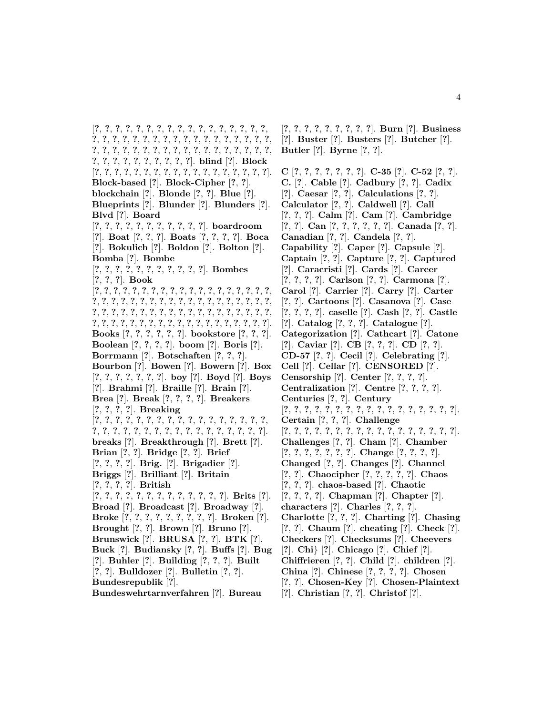[**?**, **?**, **?**, **?**, **?**, **?**, **?**, **?**, **?**, **?**, **?**, **?**, **?**, **?**, **?**, **?**, **?**, **?**, **?**, **?**, **?**, **?**, **?**, **?**, **?**, **?**, **?**, **?**, **?**, **?**, **?**, **?**, **?**, **?**, **?**, **?**, **?**, **?**, **?**, **?**, **?**, **?**, **?**, **?**, **?**, **?**, **?**, **?**, **?**, **?**, **?**, **?**, **?**, **?**, **?**, **?**, **?**, **?**, **?**, **?**, **?**, **?**, **?**]. **blind** [**?**]. **Block** [**?**, **?**, **?**, **?**, **?**, **?**, **?**, **?**, **?**, **?**, **?**, **?**, **?**, **?**, **?**, **?**, **?**, **?**]. **Block-based** [**?**]. **Block-Cipher** [**?**, **?**]. **blockchain** [**?**]. **Blonde** [**?**, **?**]. **Blue** [**?**]. **Blueprints** [**?**]. **Blunder** [**?**]. **Blunders** [**?**]. **Blvd** [**?**]. **Board** [**?**, **?**, **?**, **?**, **?**, **?**, **?**, **?**, **?**, **?**, **?**]. **boardroom** [**?**]. **Boat** [**?**, **?**, **?**]. **Boats** [**?**, **?**, **?**, **?**]. **Boca** [**?**]. **Bokulich** [**?**]. **Boldon** [**?**]. **Bolton** [**?**]. **Bomba** [**?**]. **Bombe** [**?**, **?**, **?**, **?**, **?**, **?**, **?**, **?**, **?**, **?**, **?**]. **Bombes** [**?**, **?**, **?**]. **Book** [**?**, **?**, **?**, **?**, **?**, **?**, **?**, **?**, **?**, **?**, **?**, **?**, **?**, **?**, **?**, **?**, **?**, **?**, **?**, **?**, **?**, **?**, **?**, **?**, **?**, **?**, **?**, **?**, **?**, **?**, **?**, **?**, **?**, **?**, **?**, **?**, **?**, **?**, **?**, **?**, **?**, **?**, **?**, **?**, **?**, **?**, **?**, **?**, **?**, **?**, **?**, **?**, **?**, **?**, **?**, **?**, **?**, **?**, **?**, **?**, **?**, **?**, **?**, **?**, **?**, **?**, **?**, **?**, **?**, **?**, **?**, **?**, **?**, **?**, **?**, **?**]. **Books** [**?**, **?**, **?**, **?**, **?**, **?**]. **bookstore** [**?**, **?**, **?**]. **Boolean** [**?**, **?**, **?**, **?**]. **boom** [**?**]. **Boris** [**?**]. **Borrmann** [**?**]. **Botschaften** [**?**, **?**, **?**]. **Bourbon** [**?**]. **Bowen** [**?**]. **Bowern** [**?**]. **Box** [**?**, **?**, **?**, **?**, **?**, **?**, **?**]. **boy** [**?**]. **Boyd** [**?**]. **Boys** [**?**]. **Brahmi** [**?**]. **Braille** [**?**]. **Brain** [**?**]. **Brea** [**?**]. **Break** [**?**, **?**, **?**, **?**]. **Breakers** [**?**, **?**, **?**, **?**]. **Breaking** [**?**, **?**, **?**, **?**, **?**, **?**, **?**, **?**, **?**, **?**, **?**, **?**, **?**, **?**, **?**, **?**, **?**, **?**, **?**, **?**, **?**, **?**, **?**, **?**, **?**, **?**, **?**, **?**, **?**, **?**, **?**, **?**, **?**, **?**]. **breaks** [**?**]. **Breakthrough** [**?**]. **Brett** [**?**]. **Brian** [**?**, **?**]. **Bridge** [**?**, **?**]. **Brief** [**?**, **?**, **?**, **?**]. **Brig.** [**?**]. **Brigadier** [**?**]. **Briggs** [**?**]. **Brilliant** [**?**]. **Britain** [**?**, **?**, **?**, **?**]. **British** [**?**, **?**, **?**, **?**, **?**, **?**, **?**, **?**, **?**, **?**, **?**, **?**, **?**]. **Brits** [**?**]. **Broad** [**?**]. **Broadcast** [**?**]. **Broadway** [**?**]. **Broke** [**?**, **?**, **?**, **?**, **?**, **?**, **?**, **?**, **?**]. **Broken** [**?**]. **Brought** [**?**, **?**]. **Brown** [**?**]. **Bruno** [**?**]. **Brunswick** [**?**]. **BRUSA** [**?**, **?**]. **BTK** [**?**]. **Buck** [**?**]. **Budiansky** [**?**, **?**]. **Buffs** [**?**]. **Bug** [**?**]. **Buhler** [**?**]. **Building** [**?**, **?**, **?**]. **Built** [**?**, **?**]. **Bulldozer** [**?**]. **Bulletin** [**?**, **?**]. **Bundesrepublik** [**?**].

**Bundeswehrtarnverfahren** [**?**]. **Bureau**

[**?**, **?**, **?**, **?**, **?**, **?**, **?**, **?**, **?**]. **Burn** [**?**]. **Business** [**?**]. **Buster** [**?**]. **Busters** [**?**]. **Butcher** [**?**]. **Butler** [**?**]. **Byrne** [**?**, **?**].

**C** [**?**, **?**, **?**, **?**, **?**, **?**, **?**]. **C-35** [**?**]. **C-52** [**?**, **?**]. **C.** [**?**]. **Cable** [**?**]. **Cadbury** [**?**, **?**]. **Cadix** [**?**]. **Caesar** [**?**, **?**]. **Calculations** [**?**, **?**]. **Calculator** [**?**, **?**]. **Caldwell** [**?**]. **Call** [**?**, **?**, **?**]. **Calm** [**?**]. **Cam** [**?**]. **Cambridge** [**?**, **?**]. **Can** [**?**, **?**, **?**, **?**, **?**, **?**]. **Canada** [**?**, **?**]. **Canadian** [**?**, **?**]. **Candela** [**?**, **?**]. **Capability** [**?**]. **Caper** [**?**]. **Capsule** [**?**]. **Captain** [**?**, **?**]. **Capture** [**?**, **?**]. **Captured** [**?**]. **Caracristi** [**?**]. **Cards** [**?**]. **Career** [**?**, **?**, **?**, **?**]. **Carlson** [**?**, **?**]. **Carmona** [**?**]. **Carol** [**?**]. **Carrier** [**?**]. **Carry** [**?**]. **Carter** [**?**, **?**]. **Cartoons** [**?**]. **Casanova** [**?**]. **Case** [**?**, **?**, **?**, **?**]. **caselle** [**?**]. **Cash** [**?**, **?**]. **Castle** [**?**]. **Catalog** [**?**, **?**, **?**]. **Catalogue** [**?**]. **Categorization** [**?**]. **Cathcart** [**?**]. **Catone** [**?**]. **Caviar** [**?**]. **CB** [**?**, **?**, **?**]. **CD** [**?**, **?**]. **CD-57** [**?**, **?**]. **Cecil** [**?**]. **Celebrating** [**?**]. **Cell** [**?**]. **Cellar** [**?**]. **CENSORED** [**?**]. **Censorship** [**?**]. **Center** [**?**, **?**, **?**, **?**]. **Centralization** [**?**]. **Centre** [**?**, **?**, **?**, **?**]. **Centuries** [**?**, **?**]. **Century** [**?**, **?**, **?**, **?**, **?**, **?**, **?**, **?**, **?**, **?**, **?**, **?**, **?**, **?**, **?**, **?**, **?**]. **Certain** [**?**, **?**, **?**]. **Challenge** [**?**, **?**, **?**, **?**, **?**, **?**, **?**, **?**, **?**, **?**, **?**, **?**, **?**, **?**, **?**, **?**, **?**]. **Challenges** [**?**, **?**]. **Cham** [**?**]. **Chamber** [**?**, **?**, **?**, **?**, **?**, **?**, **?**]. **Change** [**?**, **?**, **?**, **?**]. **Changed** [**?**, **?**]. **Changes** [**?**]. **Channel** [**?**, **?**]. **Chaocipher** [**?**, **?**, **?**, **?**, **?**]. **Chaos** [**?**, **?**, **?**]. **chaos-based** [**?**]. **Chaotic** [**?**, **?**, **?**, **?**]. **Chapman** [**?**]. **Chapter** [**?**]. **characters** [**?**]. **Charles** [**?**, **?**, **?**]. **Charlotte** [**?**, **?**, **?**]. **Charting** [**?**]. **Chasing** [**?**, **?**]. **Chaum** [**?**]. **cheating** [**?**]. **Check** [**?**]. **Checkers** [**?**]. **Checksums** [**?**]. **Cheevers** [**?**]. **Chi**} [**?**]. **Chicago** [**?**]. **Chief** [**?**]. **Chiffrieren** [**?**, **?**]. **Child** [**?**]. **children** [**?**]. **China** [**?**]. **Chinese** [**?**, **?**, **?**, **?**]. **Chosen** [**?**, **?**]. **Chosen-Key** [**?**]. **Chosen-Plaintext**

[**?**]. **Christian** [**?**, **?**]. **Christof** [**?**].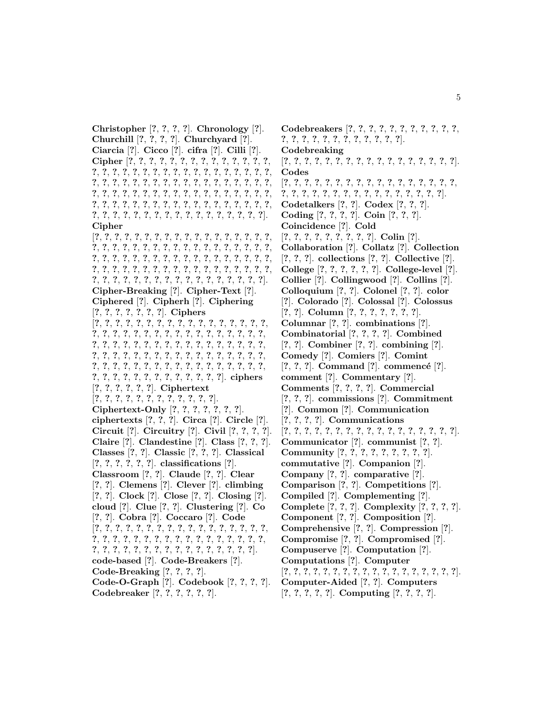**Christopher** [**?**, **?**, **?**, **?**]. **Chronology** [**?**]. **Churchill** [**?**, **?**, **?**, **?**]. **Churchyard** [**?**]. **Ciarcia** [**?**]. **Cicco** [**?**]. **cifra** [**?**]. **Cilli** [**?**]. **Cipher** [**?**, **?**, **?**, **?**, **?**, **?**, **?**, **?**, **?**, **?**, **?**, **?**, **?**, **?**, **?**, **?**, **?**, **?**, **?**, **?**, **?**, **?**, **?**, **?**, **?**, **?**, **?**, **?**, **?**, **?**, **?**, **?**, **?**, **?**, **?**, **?**, **?**, **?**, **?**, **?**, **?**, **?**, **?**, **?**, **?**, **?**, **?**, **?**, **?**, **?**, **?**, **?**, **?**, **?**, **?**, **?**, **?**, **?**, **?**, **?**, **?**, **?**, **?**, **?**, **?**, **?**, **?**, **?**, **?**, **?**, **?**, **?**, **?**, **?**, **?**, **?**, **?**, **?**, **?**, **?**, **?**, **?**, **?**, **?**, **?**, **?**, **?**, **?**, **?**, **?**, **?**, **?**, **?**, **?**, **?**, **?**, **?**, **?**, **?**, **?**, **?**, **?**, **?**]. **Cipher** [**?**, **?**, **?**, **?**, **?**, **?**, **?**, **?**, **?**, **?**, **?**, **?**, **?**, **?**, **?**, **?**, **?**, **?**, **?**, **?**, **?**, **?**, **?**, **?**, **?**, **?**, **?**, **?**, **?**, **?**, **?**, **?**, **?**, **?**, **?**, **?**, **?**, **?**, **?**, **?**, **?**, **?**, **?**, **?**, **?**, **?**, **?**, **?**, **?**, **?**, **?**, **?**, **?**, **?**, **?**, **?**, **?**, **?**, **?**, **?**, **?**, **?**, **?**, **?**, **?**, **?**, **?**, **?**, **?**, **?**, **?**, **?**, **?**, **?**, **?**, **?**, **?**, **?**, **?**, **?**, **?**, **?**, **?**, **?**, **?**, **?**, **?**, **?**, **?**]. **Cipher-Breaking** [**?**]. **Cipher-Text** [**?**]. **Ciphered** [**?**]. **Cipherh** [**?**]. **Ciphering** [**?**, **?**, **?**, **?**, **?**, **?**, **?**]. **Ciphers** [**?**, **?**, **?**, **?**, **?**, **?**, **?**, **?**, **?**, **?**, **?**, **?**, **?**, **?**, **?**, **?**, **?**, **?**, **?**, **?**, **?**, **?**, **?**, **?**, **?**, **?**, **?**, **?**, **?**, **?**, **?**, **?**, **?**, **?**, **?**, **?**, **?**, **?**, **?**, **?**, **?**, **?**, **?**, **?**, **?**, **?**, **?**, **?**, **?**, **?**, **?**, **?**, **?**, **?**, **?**, **?**, **?**, **?**, **?**, **?**, **?**, **?**, **?**, **?**, **?**, **?**, **?**, **?**, **?**, **?**, **?**, **?**, **?**, **?**, **?**, **?**, **?**, **?**, **?**, **?**, **?**, **?**, **?**, **?**, **?**, **?**, **?**, **?**, **?**, **?**, **?**, **?**, **?**, **?**, **?**, **?**, **?**, **?**]. **ciphers** [**?**, **?**, **?**, **?**, **?**, **?**]. **Ciphertext** [**?**, **?**, **?**, **?**, **?**, **?**, **?**, **?**, **?**, **?**, **?**, **?**]. **Ciphertext-Only** [**?**, **?**, **?**, **?**, **?**, **?**, **?**]. **ciphertexts** [**?**, **?**, **?**]. **Circa** [**?**]. **Circle** [**?**]. **Circuit** [**?**]. **Circuitry** [**?**]. **Civil** [**?**, **?**, **?**, **?**]. **Claire** [**?**]. **Clandestine** [**?**]. **Class** [**?**, **?**, **?**]. **Classes** [**?**, **?**]. **Classic** [**?**, **?**, **?**]. **Classical** [**?**, **?**, **?**, **?**, **?**, **?**]. **classifications** [**?**]. **Classroom** [**?**, **?**]. **Claude** [**?**, **?**]. **Clear** [**?**, **?**]. **Clemens** [**?**]. **Clever** [**?**]. **climbing** [**?**, **?**]. **Clock** [**?**]. **Close** [**?**, **?**]. **Closing** [**?**]. **cloud** [**?**]. **Clue** [**?**, **?**]. **Clustering** [**?**]. **Co** [**?**, **?**]. **Cobra** [**?**]. **Coccaro** [**?**]. **Code** [**?**, **?**, **?**, **?**, **?**, **?**, **?**, **?**, **?**, **?**, **?**, **?**, **?**, **?**, **?**, **?**, **?**, **?**, **?**, **?**, **?**, **?**, **?**, **?**, **?**, **?**, **?**, **?**, **?**, **?**, **?**, **?**, **?**, **?**, **?**, **?**, **?**, **?**, **?**, **?**, **?**, **?**, **?**, **?**, **?**, **?**, **?**, **?**, **?**, **?**]. **code-based** [**?**]. **Code-Breakers** [**?**]. **Code-Breaking** [**?**, **?**, **?**, **?**]. **Code-O-Graph** [**?**]. **Codebook** [**?**, **?**, **?**, **?**]. **Codebreaker** [**?**, **?**, **?**, **?**, **?**, **?**].

**Codebreakers** [**?**, **?**, **?**, **?**, **?**, **?**, **?**, **?**, **?**, **?**, **?**, **?**, **?**, **?**, **?**, **?**, **?**, **?**, **?**, **?**, **?**, **?**, **?**]. **Codebreaking** [**?**, **?**, **?**, **?**, **?**, **?**, **?**, **?**, **?**, **?**, **?**, **?**, **?**, **?**, **?**, **?**, **?**]. **Codes** [**?**, **?**, **?**, **?**, **?**, **?**, **?**, **?**, **?**, **?**, **?**, **?**, **?**, **?**, **?**, **?**, **?**, **?**, **?**, **?**, **?**, **?**, **?**, **?**, **?**, **?**, **?**, **?**, **?**, **?**, **?**, **?**, **?**]. **Codetalkers** [**?**, **?**]. **Codex** [**?**, **?**, **?**]. **Coding** [**?**, **?**, **?**, **?**]. **Coin** [**?**, **?**, **?**]. **Coincidence** [**?**]. **Cold** [**?**, **?**, **?**, **?**, **?**, **?**, **?**, **?**, **?**]. **Colin** [**?**]. **Collaboration** [**?**]. **Collatz** [**?**]. **Collection** [**?**, **?**, **?**]. **collections** [**?**, **?**]. **Collective** [**?**]. **College** [**?**, **?**, **?**, **?**, **?**, **?**]. **College-level** [**?**]. **Collier** [**?**]. **Collingwood** [**?**]. **Collins** [**?**]. **Colloquium** [**?**, **?**]. **Colonel** [**?**, **?**]. **color** [**?**]. **Colorado** [**?**]. **Colossal** [**?**]. **Colossus** [**?**, **?**]. **Column** [**?**, **?**, **?**, **?**, **?**, **?**, **?**]. **Columnar** [**?**, **?**]. **combinations** [**?**]. **Combinatorial** [**?**, **?**, **?**, **?**]. **Combined** [**?**, **?**]. **Combiner** [**?**, **?**]. **combining** [**?**]. **Comedy** [**?**]. **Comiers** [**?**]. **Comint**  $[?, ?, ?]$ . **Command**  $[?]$ . **commencé**  $[?]$ . **comment** [**?**]. **Commentary** [**?**]. **Comments** [**?**, **?**, **?**, **?**]. **Commercial** [**?**, **?**, **?**]. **commissions** [**?**]. **Commitment** [**?**]. **Common** [**?**]. **Communication** [**?**, **?**, **?**, **?**]. **Communications** [**?**, **?**, **?**, **?**, **?**, **?**, **?**, **?**, **?**, **?**, **?**, **?**, **?**, **?**, **?**, **?**, **?**]. **Communicator** [**?**]. **communist** [**?**, **?**]. **Community** [**?**, **?**, **?**, **?**, **?**, **?**, **?**, **?**, **?**]. **commutative** [**?**]. **Companion** [**?**]. **Company** [**?**, **?**]. **comparative** [**?**]. **Comparison** [**?**, **?**]. **Competitions** [**?**]. **Compiled** [**?**]. **Complementing** [**?**]. **Complete** [**?**, **?**, **?**]. **Complexity** [**?**, **?**, **?**, **?**]. **Component** [**?**, **?**]. **Composition** [**?**]. **Comprehensive** [**?**, **?**]. **Compression** [**?**]. **Compromise** [**?**, **?**]. **Compromised** [**?**]. **Compuserve** [**?**]. **Computation** [**?**]. **Computations** [**?**]. **Computer** [**?**, **?**, **?**, **?**, **?**, **?**, **?**, **?**, **?**, **?**, **?**, **?**, **?**, **?**, **?**, **?**, **?**, **?**]. **Computer-Aided** [**?**, **?**]. **Computers**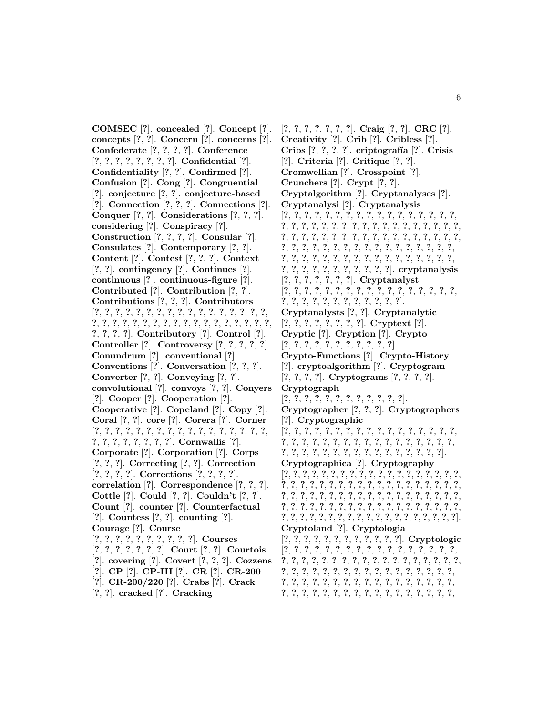**COMSEC** [**?**]. **concealed** [**?**]. **Concept** [**?**]. **concepts** [**?**, **?**]. **Concern** [**?**]. **concerns** [**?**]. **Confederate** [**?**, **?**, **?**, **?**]. **Conference** [**?**, **?**, **?**, **?**, **?**, **?**, **?**, **?**]. **Confidential** [**?**]. **Confidentiality** [**?**, **?**]. **Confirmed** [**?**]. **Confusion** [**?**]. **Cong** [**?**]. **Congruential** [**?**]. **conjecture** [**?**, **?**]. **conjecture-based** [**?**]. **Connection** [**?**, **?**, **?**]. **Connections** [**?**]. **Conquer** [**?**, **?**]. **Considerations** [**?**, **?**, **?**]. **considering** [**?**]. **Conspiracy** [**?**]. **Construction** [**?**, **?**, **?**, **?**]. **Consular** [**?**]. **Consulates** [**?**]. **Contemporary** [**?**, **?**]. **Content** [**?**]. **Contest** [**?**, **?**, **?**]. **Context** [**?**, **?**]. **contingency** [**?**]. **Continues** [**?**]. **continuous** [**?**]. **continuous-figure** [**?**]. **Contributed** [**?**]. **Contribution** [**?**, **?**]. **Contributions** [**?**, **?**, **?**]. **Contributors** [**?**, **?**, **?**, **?**, **?**, **?**, **?**, **?**, **?**, **?**, **?**, **?**, **?**, **?**, **?**, **?**, **?**, **?**, **?**, **?**, **?**, **?**, **?**, **?**, **?**, **?**, **?**, **?**, **?**, **?**, **?**, **?**, **?**, **?**, **?**, **?**, **?**, **?**, **?**]. **Contributory** [**?**]. **Control** [**?**]. **Controller** [**?**]. **Controversy** [**?**, **?**, **?**, **?**, **?**]. **Conundrum** [**?**]. **conventional** [**?**]. **Conventions** [**?**]. **Conversation** [**?**, **?**, **?**]. **Converter** [**?**, **?**]. **Conveying** [**?**, **?**]. **convolutional** [**?**]. **convoys** [**?**, **?**]. **Conyers** [**?**]. **Cooper** [**?**]. **Cooperation** [**?**]. **Cooperative** [**?**]. **Copeland** [**?**]. **Copy** [**?**]. **Coral** [**?**, **?**]. **core** [**?**]. **Corera** [**?**]. **Corner** [**?**, **?**, **?**, **?**, **?**, **?**, **?**, **?**, **?**, **?**, **?**, **?**, **?**, **?**, **?**, **?**, **?**, **?**, **?**, **?**, **?**, **?**, **?**, **?**, **?**]. **Cornwallis** [**?**]. **Corporate** [**?**]. **Corporation** [**?**]. **Corps** [**?**, **?**, **?**]. **Correcting** [**?**, **?**]. **Correction** [**?**, **?**, **?**, **?**]. **Corrections** [**?**, **?**, **?**, **?**]. **correlation** [**?**]. **Correspondence** [**?**, **?**, **?**]. **Cottle** [**?**]. **Could** [**?**, **?**]. **Couldn't** [**?**, **?**]. **Count** [**?**]. **counter** [**?**]. **Counterfactual** [**?**]. **Countess** [**?**, **?**]. **counting** [**?**]. **Courage** [**?**]. **Course** [**?**, **?**, **?**, **?**, **?**, **?**, **?**, **?**, **?**, **?**]. **Courses** [**?**, **?**, **?**, **?**, **?**, **?**, **?**]. **Court** [**?**, **?**]. **Courtois** [**?**]. **covering** [**?**]. **Covert** [**?**, **?**, **?**]. **Cozzens** [**?**]. **CP** [**?**]. **CP-III** [**?**]. **CR** [**?**]. **CR-200** [**?**]. **CR-200/220** [**?**]. **Crabs** [**?**]. **Crack** [**?**, **?**]. **cracked** [**?**]. **Cracking**

[**?**, **?**, **?**, **?**, **?**, **?**, **?**]. **Craig** [**?**, **?**]. **CRC** [**?**]. **Creativity** [**?**]. **Crib** [**?**]. **Cribless** [**?**]. **Cribs** [**?**, **?**, **?**, **?**]. **criptograf´ıa** [**?**]. **Crisis** [**?**]. **Criteria** [**?**]. **Critique** [**?**, **?**]. **Cromwellian** [**?**]. **Crosspoint** [**?**]. **Crunchers** [**?**]. **Crypt** [**?**, **?**]. **Cryptalgorithm** [**?**]. **Cryptanalyses** [**?**]. **Cryptanalysi** [**?**]. **Cryptanalysis** [**?**, **?**, **?**, **?**, **?**, **?**, **?**, **?**, **?**, **?**, **?**, **?**, **?**, **?**, **?**, **?**, **?**, **?**, **?**, **?**, **?**, **?**, **?**, **?**, **?**, **?**, **?**, **?**, **?**, **?**, **?**, **?**, **?**, **?**, **?**, **?**, **?**, **?**, **?**, **?**, **?**, **?**, **?**, **?**, **?**, **?**, **?**, **?**, **?**, **?**, **?**, **?**, **?**, **?**, **?**, **?**, **?**, **?**, **?**, **?**, **?**, **?**, **?**, **?**, **?**, **?**, **?**, **?**, **?**, **?**, **?**, **?**, **?**, **?**, **?**, **?**, **?**, **?**, **?**, **?**, **?**, **?**, **?**, **?**, **?**, **?**, **?**, **?**, **?**, **?**, **?**, **?**, **?**, **?**, **?**, **?**, **?**, **?**]. **cryptanalysis** [**?**, **?**, **?**, **?**, **?**, **?**, **?**]. **Cryptanalyst** [**?**, **?**, **?**, **?**, **?**, **?**, **?**, **?**, **?**, **?**, **?**, **?**, **?**, **?**, **?**, **?**, **?**, **?**, **?**, **?**, **?**, **?**, **?**, **?**, **?**, **?**, **?**, **?**, **?**]. **Cryptanalysts** [**?**, **?**]. **Cryptanalytic** [**?**, **?**, **?**, **?**, **?**, **?**, **?**, **?**]. **Cryptext** [**?**]. **Cryptic** [**?**]. **Cryption** [**?**]. **Crypto** [**?**, **?**, **?**, **?**, **?**, **?**, **?**, **?**, **?**, **?**, **?**]. **Crypto-Functions** [**?**]. **Crypto-History** [**?**]. **cryptoalgorithm** [**?**]. **Cryptogram** [**?**, **?**, **?**, **?**]. **Cryptograms** [**?**, **?**, **?**, **?**]. **Cryptograph** [**?**, **?**, **?**, **?**, **?**, **?**, **?**, **?**, **?**, **?**, **?**, **?**]. **Cryptographer** [**?**, **?**, **?**]. **Cryptographers** [**?**]. **Cryptographic** [**?**, **?**, **?**, **?**, **?**, **?**, **?**, **?**, **?**, **?**, **?**, **?**, **?**, **?**, **?**, **?**, **?**, **?**, **?**, **?**, **?**, **?**, **?**, **?**, **?**, **?**, **?**, **?**, **?**, **?**, **?**, **?**, **?**, **?**, **?**, **?**, **?**, **?**, **?**, **?**, **?**, **?**, **?**, **?**, **?**, **?**, **?**, **?**, **?**, **?**]. **Cryptographica** [**?**]. **Cryptography** [**?**, **?**, **?**, **?**, **?**, **?**, **?**, **?**, **?**, **?**, **?**, **?**, **?**, **?**, **?**, **?**, **?**, **?**, **?**, **?**, **?**, **?**, **?**, **?**, **?**, **?**, **?**, **?**, **?**, **?**, **?**, **?**, **?**, **?**, **?**, **?**, **?**, **?**, **?**, **?**, **?**, **?**, **?**, **?**, **?**, **?**, **?**, **?**, **?**, **?**, **?**, **?**, **?**, **?**, **?**, **?**, **?**, **?**, **?**, **?**, **?**, **?**, **?**, **?**, **?**, **?**, **?**, **?**, **?**, **?**, **?**, **?**, **?**, **?**, **?**, **?**, **?**, **?**, **?**, **?**, **?**, **?**, **?**, **?**, **?**, **?**, **?**, **?**, **?**, **?**, **?**, **?**, **?**, **?**, **?**]. **Cryptoland** [**?**]. **Cryptologia** [**?**, **?**, **?**, **?**, **?**, **?**, **?**, **?**, **?**, **?**, **?**, **?**]. **Cryptologic** [**?**, **?**, **?**, **?**, **?**, **?**, **?**, **?**, **?**, **?**, **?**, **?**, **?**, **?**, **?**, **?**, **?**, **?**, **?**, **?**, **?**, **?**, **?**, **?**, **?**, **?**, **?**, **?**, **?**, **?**, **?**, **?**, **?**, **?**, **?**, **?**, **?**, **?**, **?**, **?**, **?**, **?**, **?**, **?**, **?**, **?**, **?**, **?**, **?**, **?**, **?**, **?**, **?**, **?**, **?**, **?**, **?**, **?**, **?**, **?**, **?**, **?**, **?**, **?**, **?**, **?**, **?**, **?**, **?**, **?**, **?**, **?**, **?**, **?**, **?**, **?**, **?**, **?**, **?**, **?**, **?**, **?**, **?**, **?**, **?**, **?**,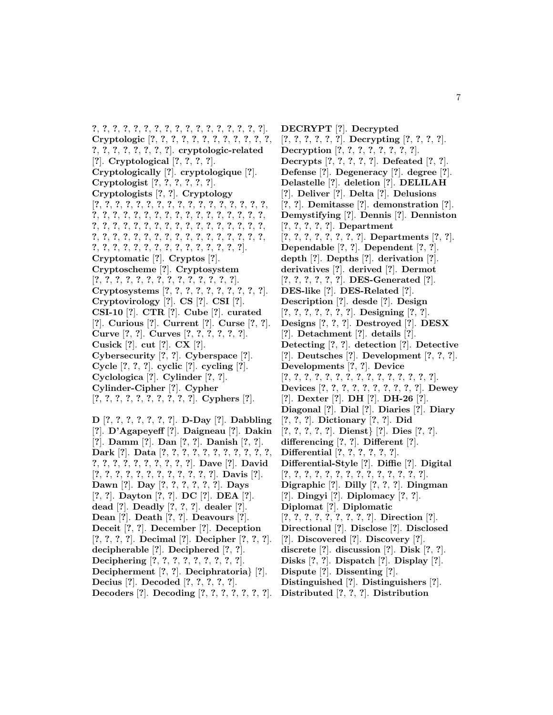**?**, **?**, **?**, **?**, **?**, **?**, **?**, **?**, **?**, **?**, **?**, **?**, **?**, **?**, **?**, **?**, **?**]. **Cryptologic** [**?**, **?**, **?**, **?**, **?**, **?**, **?**, **?**, **?**, **?**, **?**, **?**, **?**, **?**, **?**, **?**, **?**, **?**, **?**, **?**]. **cryptologic-related** [**?**]. **Cryptological** [**?**, **?**, **?**, **?**]. **Cryptologically** [**?**]. **cryptologique** [**?**]. **Cryptologist** [**?**, **?**, **?**, **?**, **?**, **?**]. **Cryptologists** [**?**, **?**]. **Cryptology** [**?**, **?**, **?**, **?**, **?**, **?**, **?**, **?**, **?**, **?**, **?**, **?**, **?**, **?**, **?**, **?**, **?**, **?**, **?**, **?**, **?**, **?**, **?**, **?**, **?**, **?**, **?**, **?**, **?**, **?**, **?**, **?**, **?**, **?**, **?**, **?**, **?**, **?**, **?**, **?**, **?**, **?**, **?**, **?**, **?**, **?**, **?**, **?**, **?**, **?**, **?**, **?**, **?**, **?**, **?**, **?**, **?**, **?**, **?**, **?**, **?**, **?**, **?**, **?**, **?**, **?**, **?**, **?**, **?**, **?**, **?**, **?**, **?**, **?**, **?**, **?**, **?**, **?**, **?**, **?**, **?**, **?**, **?**]. **Cryptomatic** [**?**]. **Cryptos** [**?**]. **Cryptoscheme** [**?**]. **Cryptosystem** [**?**, **?**, **?**, **?**, **?**, **?**, **?**, **?**, **?**, **?**, **?**, **?**, **?**, **?**]. **Cryptosystems** [**?**, **?**, **?**, **?**, **?**, **?**, **?**, **?**, **?**, **?**]. **Cryptovirology** [**?**]. **CS** [**?**]. **CSI** [**?**]. **CSI-10** [**?**]. **CTR** [**?**]. **Cube** [**?**]. **curated** [**?**]. **Curious** [**?**]. **Current** [**?**]. **Curse** [**?**, **?**]. **Curve** [**?**, **?**]. **Curves** [**?**, **?**, **?**, **?**, **?**, **?**]. **Cusick** [**?**]. **cut** [**?**]. **CX** [**?**]. **Cybersecurity** [**?**, **?**]. **Cyberspace** [**?**]. **Cycle** [**?**, **?**, **?**]. **cyclic** [**?**]. **cycling** [**?**]. **Cyclologica** [**?**]. **Cylinder** [**?**, **?**]. **Cylinder-Cipher** [**?**]. **Cypher** [**?**, **?**, **?**, **?**, **?**, **?**, **?**, **?**, **?**, **?**]. **Cyphers** [**?**]. **D** [**?**, **?**, **?**, **?**, **?**, **?**, **?**]. **D-Day** [**?**]. **Dabbling**

[**?**]. **D'Agapeyeff** [**?**]. **Daigneau** [**?**]. **Dakin** [**?**]. **Damm** [**?**]. **Dan** [**?**, **?**]. **Danish** [**?**, **?**]. **Dark** [**?**]. **Data** [**?**, **?**, **?**, **?**, **?**, **?**, **?**, **?**, **?**, **?**, **?**, **?**, **?**, **?**, **?**, **?**, **?**, **?**, **?**, **?**, **?**]. **Dave** [**?**]. **David** [**?**, **?**, **?**, **?**, **?**, **?**, **?**, **?**, **?**, **?**, **?**, **?**]. **Davis** [**?**]. **Dawn** [**?**]. **Day** [**?**, **?**, **?**, **?**, **?**, **?**]. **Days** [**?**, **?**]. **Dayton** [**?**, **?**]. **DC** [**?**]. **DEA** [**?**]. **dead** [**?**]. **Deadly** [**?**, **?**, **?**]. **dealer** [**?**]. **Dean** [**?**]. **Death** [**?**, **?**]. **Deavours** [**?**]. **Deceit** [**?**, **?**]. **December** [**?**]. **Deception** [**?**, **?**, **?**, **?**]. **Decimal** [**?**]. **Decipher** [**?**, **?**, **?**]. **decipherable** [**?**]. **Deciphered** [**?**, **?**]. **Deciphering** [**?**, **?**, **?**, **?**, **?**, **?**, **?**, **?**, **?**]. **Decipherment** [**?**, **?**]. **Deciphratoria**} [**?**]. **Decius** [**?**]. **Decoded** [**?**, **?**, **?**, **?**, **?**]. **Decoders** [**?**]. **Decoding** [**?**, **?**, **?**, **?**, **?**, **?**, **?**].

**DECRYPT** [**?**]. **Decrypted** [**?**, **?**, **?**, **?**, **?**, **?**]. **Decrypting** [**?**, **?**, **?**, **?**]. **Decryption** [**?**, **?**, **?**, **?**, **?**, **?**, **?**, **?**]. **Decrypts** [**?**, **?**, **?**, **?**, **?**]. **Defeated** [**?**, **?**]. **Defense** [**?**]. **Degeneracy** [**?**]. **degree** [**?**]. **Delastelle** [**?**]. **deletion** [**?**]. **DELILAH** [**?**]. **Deliver** [**?**]. **Delta** [**?**]. **Delusions** [**?**, **?**]. **Demitasse** [**?**]. **demonstration** [**?**]. **Demystifying** [**?**]. **Dennis** [**?**]. **Denniston** [**?**, **?**, **?**, **?**, **?**]. **Department** [**?**, **?**, **?**, **?**, **?**, **?**, **?**, **?**]. **Departments** [**?**, **?**]. **Dependable** [**?**, **?**]. **Dependent** [**?**, **?**]. **depth** [**?**]. **Depths** [**?**]. **derivation** [**?**]. **derivatives** [**?**]. **derived** [**?**]. **Dermot** [**?**, **?**, **?**, **?**, **?**, **?**]. **DES-Generated** [**?**]. **DES-like** [**?**]. **DES-Related** [**?**]. **Description** [**?**]. **desde** [**?**]. **Design** [**?**, **?**, **?**, **?**, **?**, **?**, **?**]. **Designing** [**?**, **?**]. **Designs** [**?**, **?**, **?**]. **Destroyed** [**?**]. **DESX** [**?**]. **Detachment** [**?**]. **details** [**?**]. **Detecting** [**?**, **?**]. **detection** [**?**]. **Detective** [**?**]. **Deutsches** [**?**]. **Development** [**?**, **?**, **?**]. **Developments** [**?**, **?**]. **Device** [**?**, **?**, **?**, **?**, **?**, **?**, **?**, **?**, **?**, **?**, **?**, **?**, **?**, **?**, **?**]. **Devices** [**?**, **?**, **?**, **?**, **?**, **?**, **?**, **?**, **?**, **?**]. **Dewey** [**?**]. **Dexter** [**?**]. **DH** [**?**]. **DH-26** [**?**]. **Diagonal** [**?**]. **Dial** [**?**]. **Diaries** [**?**]. **Diary** [**?**, **?**, **?**]. **Dictionary** [**?**, **?**]. **Did** [**?**, **?**, **?**, **?**, **?**]. **Dienst**} [**?**]. **Dies** [**?**, **?**]. **differencing** [**?**, **?**]. **Different** [**?**]. **Differential** [**?**, **?**, **?**, **?**, **?**, **?**]. **Differential-Style** [**?**]. **Diffie** [**?**]. **Digital** [**?**, **?**, **?**, **?**, **?**, **?**, **?**, **?**, **?**, **?**, **?**, **?**, **?**, **?**]. **Digraphic** [**?**]. **Dilly** [**?**, **?**, **?**]. **Dingman** [**?**]. **Dingyi** [**?**]. **Diplomacy** [**?**, **?**]. **Diplomat** [**?**]. **Diplomatic** [**?**, **?**, **?**, **?**, **?**, **?**, **?**, **?**, **?**]. **Direction** [**?**]. **Directional** [**?**]. **Disclose** [**?**]. **Disclosed** [**?**]. **Discovered** [**?**]. **Discovery** [**?**]. **discrete** [**?**]. **discussion** [**?**]. **Disk** [**?**, **?**]. **Disks** [**?**, **?**]. **Dispatch** [**?**]. **Display** [**?**]. **Dispute** [**?**]. **Dissenting** [**?**]. **Distinguished** [**?**]. **Distinguishers** [**?**]. **Distributed** [**?**, **?**, **?**]. **Distribution**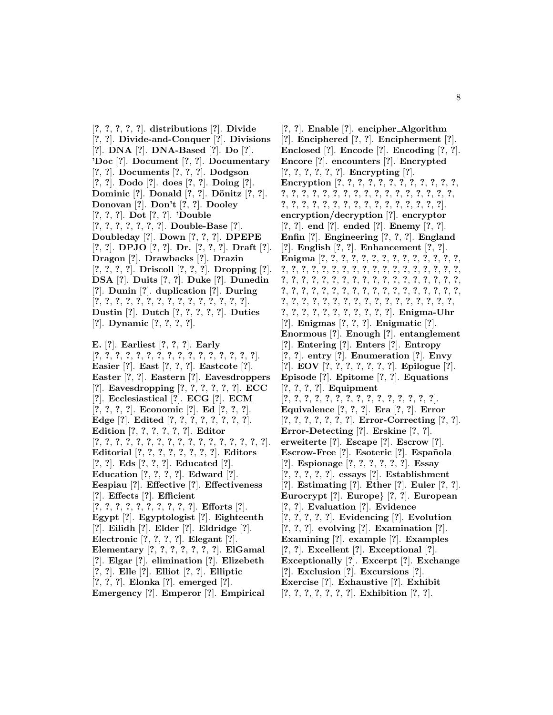[**?**, **?**, **?**, **?**, **?**]. **distributions** [**?**]. **Divide** [**?**, **?**]. **Divide-and-Conquer** [**?**]. **Divisions** [**?**]. **DNA** [**?**]. **DNA-Based** [**?**]. **Do** [**?**]. **'Doc** [**?**]. **Document** [**?**, **?**]. **Documentary** [**?**, **?**]. **Documents** [**?**, **?**, **?**]. **Dodgson** [**?**, **?**]. **Dodo** [**?**]. **does** [**?**, **?**]. **Doing** [**?**]. **Dominic** [**?**]. **Donald** [**?**, **?**]. **D¨onitz** [**?**, **?**]. **Donovan** [**?**]. **Don't** [**?**, **?**]. **Dooley** [**?**, **?**, **?**]. **Dot** [**?**, **?**]. **'Double** [**?**, **?**, **?**, **?**, **?**, **?**, **?**]. **Double-Base** [**?**]. **Doubleday** [**?**]. **Down** [**?**, **?**, **?**]. **DPEPE** [**?**, **?**]. **DPJO** [**?**, **?**]. **Dr.** [**?**, **?**, **?**]. **Draft** [**?**]. **Dragon** [**?**]. **Drawbacks** [**?**]. **Drazin** [**?**, **?**, **?**, **?**]. **Driscoll** [**?**, **?**, **?**]. **Dropping** [**?**]. **DSA** [**?**]. **Duits** [**?**, **?**]. **Duke** [**?**]. **Dunedin** [**?**]. **Dunin** [**?**]. **duplication** [**?**]. **During** [**?**, **?**, **?**, **?**, **?**, **?**, **?**, **?**, **?**, **?**, **?**, **?**, **?**, **?**, **?**]. **Dustin** [**?**]. **Dutch** [**?**, **?**, **?**, **?**, **?**]. **Duties** [**?**]. **Dynamic** [**?**, **?**, **?**, **?**].

**E.** [**?**]. **Earliest** [**?**, **?**, **?**]. **Early** [**?**, **?**, **?**, **?**, **?**, **?**, **?**, **?**, **?**, **?**, **?**, **?**, **?**, **?**, **?**, **?**]. **Easier** [**?**]. **East** [**?**, **?**, **?**]. **Eastcote** [**?**]. **Easter** [**?**, **?**]. **Eastern** [**?**]. **Eavesdroppers** [**?**]. **Eavesdropping** [**?**, **?**, **?**, **?**, **?**, **?**]. **ECC** [**?**]. **Ecclesiastical** [**?**]. **ECG** [**?**]. **ECM** [**?**, **?**, **?**, **?**]. **Economic** [**?**]. **Ed** [**?**, **?**, **?**]. **Edge** [**?**]. **Edited** [**?**, **?**, **?**, **?**, **?**, **?**, **?**, **?**]. **Edition** [**?**, **?**, **?**, **?**, **?**, **?**]. **Editor** [**?**, **?**, **?**, **?**, **?**, **?**, **?**, **?**, **?**, **?**, **?**, **?**, **?**, **?**, **?**, **?**, **?**]. **Editorial** [**?**, **?**, **?**, **?**, **?**, **?**, **?**, **?**]. **Editors** [**?**, **?**]. **Eds** [**?**, **?**, **?**]. **Educated** [**?**]. **Education** [**?**, **?**, **?**, **?**]. **Edward** [**?**]. **Eespiau** [**?**]. **Effective** [**?**]. **Effectiveness** [**?**]. **Effects** [**?**]. **Efficient** [**?**, **?**, **?**, **?**, **?**, **?**, **?**, **?**, **?**, **?**]. **Efforts** [**?**]. **Egypt** [**?**]. **Egyptologist** [**?**]. **Eighteenth** [**?**]. **Eilidh** [**?**]. **Elder** [**?**]. **Eldridge** [**?**]. **Electronic** [**?**, **?**, **?**, **?**]. **Elegant** [**?**]. **Elementary** [**?**, **?**, **?**, **?**, **?**, **?**, **?**]. **ElGamal** [**?**]. **Elgar** [**?**]. **elimination** [**?**]. **Elizebeth** [**?**, **?**]. **Elle** [**?**]. **Elliot** [**?**, **?**]. **Elliptic** [**?**, **?**, **?**]. **Elonka** [**?**]. **emerged** [**?**]. **Emergency** [**?**]. **Emperor** [**?**]. **Empirical**

[**?**, **?**]. **Enable** [**?**]. **encipher Algorithm** [**?**]. **Enciphered** [**?**, **?**]. **Encipherment** [**?**]. **Enclosed** [**?**]. **Encode** [**?**]. **Encoding** [**?**, **?**]. **Encore** [**?**]. **encounters** [**?**]. **Encrypted** [**?**, **?**, **?**, **?**, **?**, **?**]. **Encrypting** [**?**]. **Encryption** [**?**, **?**, **?**, **?**, **?**, **?**, **?**, **?**, **?**, **?**, **?**, **?**, **?**, **?**, **?**, **?**, **?**, **?**, **?**, **?**, **?**, **?**, **?**, **?**, **?**, **?**, **?**, **?**, **?**, **?**, **?**, **?**, **?**, **?**, **?**, **?**, **?**, **?**, **?**, **?**, **?**, **?**, **?**, **?**, **?**]. **encryption/decryption** [**?**]. **encryptor** [**?**, **?**]. **end** [**?**]. **ended** [**?**]. **Enemy** [**?**, **?**]. **Enfin** [**?**]. **Engineering** [**?**, **?**, **?**]. **England** [**?**]. **English** [**?**, **?**]. **Enhancement** [**?**, **?**]. **Enigma** [**?**, **?**, **?**, **?**, **?**, **?**, **?**, **?**, **?**, **?**, **?**, **?**, **?**, **?**, **?**, **?**, **?**, **?**, **?**, **?**, **?**, **?**, **?**, **?**, **?**, **?**, **?**, **?**, **?**, **?**, **?**, **?**, **?**, **?**, **?**, **?**, **?**, **?**, **?**, **?**, **?**, **?**, **?**, **?**, **?**, **?**, **?**, **?**, **?**, **?**, **?**, **?**, **?**, **?**, **?**, **?**, **?**, **?**, **?**, **?**, **?**, **?**, **?**, **?**, **?**, **?**, **?**, **?**, **?**, **?**, **?**, **?**, **?**, **?**, **?**, **?**, **?**, **?**, **?**, **?**, **?**, **?**, **?**, **?**, **?**, **?**, **?**, **?**, **?**, **?**, **?**, **?**, **?**, **?**, **?**, **?**]. **Enigma-Uhr** [**?**]. **Enigmas** [**?**, **?**, **?**]. **Enigmatic** [**?**]. **Enormous** [**?**]. **Enough** [**?**]. **entanglement** [**?**]. **Entering** [**?**]. **Enters** [**?**]. **Entropy** [**?**, **?**]. **entry** [**?**]. **Enumeration** [**?**]. **Envy** [**?**]. **EOV** [**?**, **?**, **?**, **?**, **?**, **?**, **?**]. **Epilogue** [**?**]. **Episode** [**?**]. **Epitome** [**?**, **?**]. **Equations** [**?**, **?**, **?**, **?**]. **Equipment** [**?**, **?**, **?**, **?**, **?**, **?**, **?**, **?**, **?**, **?**, **?**, **?**, **?**, **?**, **?**]. **Equivalence** [**?**, **?**, **?**]. **Era** [**?**, **?**]. **Error** [**?**, **?**, **?**, **?**, **?**, **?**, **?**]. **Error-Correcting** [**?**, **?**]. **Error-Detecting** [**?**]. **Erskine** [**?**, **?**]. **erweiterte** [**?**]. **Escape** [**?**]. **Escrow** [**?**]. **Escrow-Free** [**?**]. **Esoteric** [**?**]. **Espa˜nola** [**?**]. **Espionage** [**?**, **?**, **?**, **?**, **?**, **?**]. **Essay** [**?**, **?**, **?**, **?**, **?**]. **essays** [**?**]. **Establishment** [**?**]. **Estimating** [**?**]. **Ether** [**?**]. **Euler** [**?**, **?**]. **Eurocrypt** [**?**]. **Europe**} [**?**, **?**]. **European** [**?**, **?**]. **Evaluation** [**?**]. **Evidence** [**?**, **?**, **?**, **?**, **?**]. **Evidencing** [**?**]. **Evolution** [**?**, **?**, **?**]. **evolving** [**?**]. **Examination** [**?**]. **Examining** [**?**]. **example** [**?**]. **Examples** [**?**, **?**]. **Excellent** [**?**]. **Exceptional** [**?**]. **Exceptionally** [**?**]. **Excerpt** [**?**]. **Exchange** [**?**]. **Exclusion** [**?**]. **Excursions** [**?**]. **Exercise** [**?**]. **Exhaustive** [**?**]. **Exhibit** [**?**, **?**, **?**, **?**, **?**, **?**, **?**]. **Exhibition** [**?**, **?**].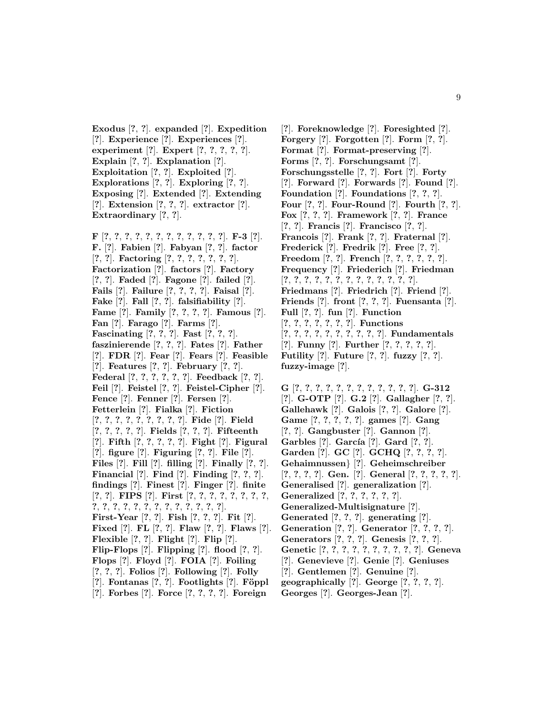**Exodus** [**?**, **?**]. **expanded** [**?**]. **Expedition** [**?**]. **Experience** [**?**]. **Experiences** [**?**]. **experiment** [**?**]. **Expert** [**?**, **?**, **?**, **?**, **?**]. **Explain** [**?**, **?**]. **Explanation** [**?**]. **Exploitation** [**?**, **?**]. **Exploited** [**?**]. **Explorations** [**?**, **?**]. **Exploring** [**?**, **?**]. **Exposing** [**?**]. **Extended** [**?**]. **Extending** [**?**]. **Extension** [**?**, **?**, **?**]. **extractor** [**?**]. **Extraordinary** [**?**, **?**].

**F** [**?**, **?**, **?**, **?**, **?**, **?**, **?**, **?**, **?**, **?**, **?**, **?**]. **F-3** [**?**]. **F.** [**?**]. **Fabien** [**?**]. **Fabyan** [**?**, **?**]. **factor** [**?**, **?**]. **Factoring** [**?**, **?**, **?**, **?**, **?**, **?**, **?**]. **Factorization** [**?**]. **factors** [**?**]. **Factory** [**?**, **?**]. **Faded** [**?**]. **Fagone** [**?**]. **failed** [**?**]. **Fails** [**?**]. **Failure** [**?**, **?**, **?**, **?**]. **Faisal** [**?**]. **Fake** [**?**]. **Fall** [**?**, **?**]. **falsifiability** [**?**]. **Fame** [**?**]. **Family** [**?**, **?**, **?**, **?**]. **Famous** [**?**]. **Fan** [**?**]. **Farago** [**?**]. **Farms** [**?**]. **Fascinating** [**?**, **?**, **?**]. **Fast** [**?**, **?**, **?**]. **faszinierende** [**?**, **?**, **?**]. **Fates** [**?**]. **Father** [**?**]. **FDR** [**?**]. **Fear** [**?**]. **Fears** [**?**]. **Feasible** [**?**]. **Features** [**?**, **?**]. **February** [**?**, **?**]. **Federal** [**?**, **?**, **?**, **?**, **?**, **?**]. **Feedback** [**?**, **?**]. **Feil** [**?**]. **Feistel** [**?**, **?**]. **Feistel-Cipher** [**?**]. **Fence** [**?**]. **Fenner** [**?**]. **Fersen** [**?**]. **Fetterlein** [**?**]. **Fialka** [**?**]. **Fiction** [**?**, **?**, **?**, **?**, **?**, **?**, **?**, **?**, **?**]. **Fide** [**?**]. **Field** [**?**, **?**, **?**, **?**, **?**]. **Fields** [**?**, **?**, **?**]. **Fifteenth** [**?**]. **Fifth** [**?**, **?**, **?**, **?**, **?**]. **Fight** [**?**]. **Figural** [**?**]. **figure** [**?**]. **Figuring** [**?**, **?**]. **File** [**?**]. **Files** [**?**]. **Fill** [**?**]. **filling** [**?**]. **Finally** [**?**, **?**]. **Financial** [**?**]. **Find** [**?**]. **Finding** [**?**, **?**, **?**]. **findings** [**?**]. **Finest** [**?**]. **Finger** [**?**]. **finite** [**?**, **?**]. **FIPS** [**?**]. **First** [**?**, **?**, **?**, **?**, **?**, **?**, **?**, **?**, **?**, **?**, **?**, **?**, **?**, **?**, **?**, **?**, **?**, **?**, **?**, **?**, **?**]. **First-Year** [**?**, **?**]. **Fish** [**?**, **?**, **?**]. **Fit** [**?**]. **Fixed** [**?**]. **FL** [**?**, **?**]. **Flaw** [**?**, **?**]. **Flaws** [**?**]. **Flexible** [**?**, **?**]. **Flight** [**?**]. **Flip** [**?**]. **Flip-Flops** [**?**]. **Flipping** [**?**]. **flood** [**?**, **?**]. **Flops** [**?**]. **Floyd** [**?**]. **FOIA** [**?**]. **Foiling** [**?**, **?**, **?**]. **Folios** [**?**]. **Following** [**?**]. **Folly** [**?**]. **Fontanas** [**?**, **?**]. **Footlights** [**?**]. **F¨oppl** [**?**]. **Forbes** [**?**]. **Force** [**?**, **?**, **?**, **?**]. **Foreign**

[**?**]. **Foreknowledge** [**?**]. **Foresighted** [**?**]. **Forgery** [**?**]. **Forgotten** [**?**]. **Form** [**?**, **?**]. **Format** [**?**]. **Format-preserving** [**?**]. **Forms** [**?**, **?**]. **Forschungsamt** [**?**]. **Forschungsstelle** [**?**, **?**]. **Fort** [**?**]. **Forty** [**?**]. **Forward** [**?**]. **Forwards** [**?**]. **Found** [**?**]. **Foundation** [**?**]. **Foundations** [**?**, **?**, **?**]. **Four** [**?**, **?**]. **Four-Round** [**?**]. **Fourth** [**?**, **?**]. **Fox** [**?**, **?**, **?**]. **Framework** [**?**, **?**]. **France** [**?**, **?**]. **Francis** [**?**]. **Francisco** [**?**, **?**]. **Francois** [**?**]. **Frank** [**?**, **?**]. **Fraternal** [**?**]. **Frederick** [**?**]. **Fredrik** [**?**]. **Free** [**?**, **?**]. **Freedom** [**?**, **?**]. **French** [**?**, **?**, **?**, **?**, **?**, **?**]. **Frequency** [**?**]. **Friederich** [**?**]. **Friedman** [**?**, **?**, **?**, **?**, **?**, **?**, **?**, **?**, **?**, **?**, **?**, **?**, **?**]. **Friedmans** [**?**]. **Friedrich** [**?**]. **Friend** [**?**]. **Friends** [**?**]. **front** [**?**, **?**, **?**]. **Fuensanta** [**?**]. **Full** [**?**, **?**]. **fun** [**?**]. **Function** [**?**, **?**, **?**, **?**, **?**, **?**, **?**]. **Functions** [**?**, **?**, **?**, **?**, **?**, **?**, **?**, **?**, **?**, **?**]. **Fundamentals** [**?**]. **Funny** [**?**]. **Further** [**?**, **?**, **?**, **?**, **?**]. **Futility** [**?**]. **Future** [**?**, **?**]. **fuzzy** [**?**, **?**]. **fuzzy-image** [**?**].

**G** [**?**, **?**, **?**, **?**, **?**, **?**, **?**, **?**, **?**, **?**, **?**, **?**]. **G-312** [**?**]. **G-OTP** [**?**]. **G.2** [**?**]. **Gallagher** [**?**, **?**]. **Gallehawk** [**?**]. **Galois** [**?**, **?**]. **Galore** [**?**]. **Game** [**?**, **?**, **?**, **?**, **?**]. **games** [**?**]. **Gang** [**?**, **?**]. **Gangbuster** [**?**]. **Gannon** [**?**]. **Garbles** [**?**]. **Garc´ıa** [**?**]. **Gard** [**?**, **?**]. **Garden** [**?**]. **GC** [**?**]. **GCHQ** [**?**, **?**, **?**, **?**]. **Gehaimnussen**} [**?**]. **Geheimschreiber** [**?**, **?**, **?**, **?**]. **Gen.** [**?**]. **General** [**?**, **?**, **?**, **?**, **?**]. **Generalised** [**?**]. **generalization** [**?**]. **Generalized** [**?**, **?**, **?**, **?**, **?**, **?**]. **Generalized-Multisignature** [**?**]. **Generated** [**?**, **?**, **?**]. **generating** [**?**]. **Generation** [**?**, **?**]. **Generator** [**?**, **?**, **?**, **?**]. **Generators** [**?**, **?**, **?**]. **Genesis** [**?**, **?**, **?**]. **Genetic** [**?**, **?**, **?**, **?**, **?**, **?**, **?**, **?**, **?**, **?**]. **Geneva** [**?**]. **Genevieve** [**?**]. **Genie** [**?**]. **Geniuses** [**?**]. **Gentlemen** [**?**]. **Genuine** [**?**].

- **geographically** [**?**]. **George** [**?**, **?**, **?**, **?**].
- **Georges** [**?**]. **Georges-Jean** [**?**].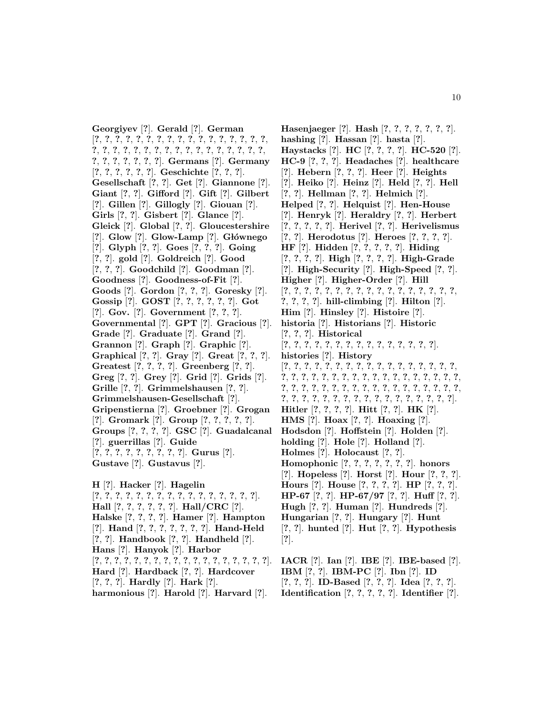**Georgiyev** [**?**]. **Gerald** [**?**]. **German** [**?**, **?**, **?**, **?**, **?**, **?**, **?**, **?**, **?**, **?**, **?**, **?**, **?**, **?**, **?**, **?**, **?**, **?**, **?**, **?**, **?**, **?**, **?**, **?**, **?**, **?**, **?**, **?**, **?**, **?**, **?**, **?**, **?**, **?**, **?**, **?**, **?**, **?**, **?**, **?**, **?**]. **Germans** [**?**]. **Germany** [**?**, **?**, **?**, **?**, **?**, **?**]. **Geschichte** [**?**, **?**, **?**]. **Gesellschaft** [**?**, **?**]. **Get** [**?**]. **Giannone** [**?**]. **Giant** [**?**, **?**]. **Gifford** [**?**]. **Gift** [**?**]. **Gilbert** [**?**]. **Gillen** [**?**]. **Gillogly** [**?**]. **Giouan** [**?**]. **Girls** [**?**, **?**]. **Gisbert** [**?**]. **Glance** [**?**]. **Gleick** [**?**]. **Global** [**?**, **?**]. **Gloucestershire** [**?**]. **Glow** [**?**]. **Glow-Lamp** [**?**]. **G l´ownego** [**?**]. **Glyph** [**?**, **?**]. **Goes** [**?**, **?**, **?**]. **Going** [**?**, **?**]. **gold** [**?**]. **Goldreich** [**?**]. **Good** [**?**, **?**, **?**]. **Goodchild** [**?**]. **Goodman** [**?**]. **Goodness** [**?**]. **Goodness-of-Fit** [**?**]. **Goods** [**?**]. **Gordon** [**?**, **?**, **?**]. **Goresky** [**?**]. **Gossip** [**?**]. **GOST** [**?**, **?**, **?**, **?**, **?**, **?**]. **Got** [**?**]. **Gov.** [**?**]. **Government** [**?**, **?**, **?**]. **Governmental** [**?**]. **GPT** [**?**]. **Gracious** [**?**]. **Grade** [**?**]. **Graduate** [**?**]. **Grand** [**?**]. **Grannon** [**?**]. **Graph** [**?**]. **Graphic** [**?**]. **Graphical** [**?**, **?**]. **Gray** [**?**]. **Great** [**?**, **?**, **?**]. **Greatest** [**?**, **?**, **?**, **?**]. **Greenberg** [**?**, **?**]. **Greg** [**?**, **?**]. **Grey** [**?**]. **Grid** [**?**]. **Grids** [**?**]. **Grille** [**?**, **?**]. **Grimmelshausen** [**?**, **?**]. **Grimmelshausen-Gesellschaft** [**?**]. **Gripenstierna** [**?**]. **Groebner** [**?**]. **Grogan** [**?**]. **Gromark** [**?**]. **Group** [**?**, **?**, **?**, **?**, **?**]. **Groups** [**?**, **?**, **?**, **?**]. **GSC** [**?**]. **Guadalcanal** [**?**]. **guerrillas** [**?**]. **Guide** [**?**, **?**, **?**, **?**, **?**, **?**, **?**, **?**, **?**]. **Gurus** [**?**]. **Gustave** [**?**]. **Gustavus** [**?**]. **H** [**?**]. **Hacker** [**?**]. **Hagelin**

[**?**, **?**, **?**, **?**, **?**, **?**, **?**, **?**, **?**, **?**, **?**, **?**, **?**, **?**, **?**, **?**]. **Hall** [**?**, **?**, **?**, **?**, **?**, **?**]. **Hall/CRC** [**?**]. **Halske** [**?**, **?**, **?**, **?**]. **Hamer** [**?**]. **Hampton** [**?**]. **Hand** [**?**, **?**, **?**, **?**, **?**, **?**, **?**]. **Hand-Held** [**?**, **?**]. **Handbook** [**?**, **?**]. **Handheld** [**?**]. **Hans** [**?**]. **Hanyok** [**?**]. **Harbor** [**?**, **?**, **?**, **?**, **?**, **?**, **?**, **?**, **?**, **?**, **?**, **?**, **?**, **?**, **?**, **?**, **?**, **?**]. **Hard** [**?**]. **Hardback** [**?**, **?**]. **Hardcover** [**?**, **?**, **?**]. **Hardly** [**?**]. **Hark** [**?**]. **harmonious** [**?**]. **Harold** [**?**]. **Harvard** [**?**].

**Hasenjaeger** [**?**]. **Hash** [**?**, **?**, **?**, **?**, **?**, **?**, **?**]. **hashing** [**?**]. **Hassan** [**?**]. **hasta** [**?**]. **Haystacks** [**?**]. **HC** [**?**, **?**, **?**, **?**]. **HC-520** [**?**]. **HC-9** [**?**, **?**, **?**]. **Headaches** [**?**]. **healthcare** [**?**]. **Hebern** [**?**, **?**, **?**]. **Heer** [**?**]. **Heights** [**?**]. **Heiko** [**?**]. **Heinz** [**?**]. **Held** [**?**, **?**]. **Hell** [**?**, **?**]. **Hellman** [**?**, **?**]. **Helmich** [**?**]. **Helped** [**?**, **?**]. **Helquist** [**?**]. **Hen-House** [**?**]. **Henryk** [**?**]. **Heraldry** [**?**, **?**]. **Herbert** [**?**, **?**, **?**, **?**, **?**]. **Herivel** [**?**, **?**]. **Herivelismus** [**?**, **?**]. **Herodotus** [**?**]. **Heroes** [**?**, **?**, **?**, **?**]. **HF** [**?**]. **Hidden** [**?**, **?**, **?**, **?**, **?**]. **Hiding** [**?**, **?**, **?**, **?**]. **High** [**?**, **?**, **?**, **?**]. **High-Grade** [**?**]. **High-Security** [**?**]. **High-Speed** [**?**, **?**]. **Higher** [**?**]. **Higher-Order** [**?**]. **Hill** [**?**, **?**, **?**, **?**, **?**, **?**, **?**, **?**, **?**, **?**, **?**, **?**, **?**, **?**, **?**, **?**, **?**, **?**, **?**, **?**, **?**]. **hill-climbing** [**?**]. **Hilton** [**?**]. **Him** [**?**]. **Hinsley** [**?**]. **Histoire** [**?**]. **historia** [**?**]. **Historians** [**?**]. **Historic** [**?**, **?**, **?**]. **Historical** [**?**, **?**, **?**, **?**, **?**, **?**, **?**, **?**, **?**, **?**, **?**, **?**, **?**, **?**, **?**]. **histories** [**?**]. **History** [**?**, **?**, **?**, **?**, **?**, **?**, **?**, **?**, **?**, **?**, **?**, **?**, **?**, **?**, **?**, **?**, **?**, **?**, **?**, **?**, **?**, **?**, **?**, **?**, **?**, **?**, **?**, **?**, **?**, **?**, **?**, **?**, **?**, **?**, **?**, **?**, **?**, **?**, **?**, **?**, **?**, **?**, **?**, **?**, **?**, **?**, **?**, **?**, **?**, **?**, **?**, **?**, **?**, **?**, **?**, **?**, **?**, **?**, **?**, **?**, **?**, **?**, **?**, **?**, **?**, **?**, **?**, **?**, **?**, **?**]. **Hitler** [**?**, **?**, **?**, **?**]. **Hitt** [**?**, **?**]. **HK** [**?**]. **HMS** [**?**]. **Hoax** [**?**, **?**]. **Hoaxing** [**?**]. **Hodsdon** [**?**]. **Hoffstein** [**?**]. **Holden** [**?**]. **holding** [**?**]. **Hole** [**?**]. **Holland** [**?**]. **Holmes** [**?**]. **Holocaust** [**?**, **?**]. **Homophonic** [**?**, **?**, **?**, **?**, **?**, **?**, **?**]. **honors** [**?**]. **Hopeless** [**?**]. **Horst** [**?**]. **Hour** [**?**, **?**, **?**]. **Hours** [**?**]. **House** [**?**, **?**, **?**, **?**]. **HP** [**?**, **?**, **?**]. **HP-67** [**?**, **?**]. **HP-67/97** [**?**, **?**]. **Huff** [**?**, **?**]. **Hugh** [**?**, **?**]. **Human** [**?**]. **Hundreds** [**?**]. **Hungarian** [**?**, **?**]. **Hungary** [**?**]. **Hunt** [**?**, **?**]. **hunted** [**?**]. **Hut** [**?**, **?**]. **Hypothesis** [**?**].

**IACR** [**?**]. **Ian** [**?**]. **IBE** [**?**]. **IBE-based** [**?**]. **IBM** [**?**, **?**]. **IBM-PC** [**?**]. **Ibn** [**?**]. **ID** [**?**, **?**, **?**]. **ID-Based** [**?**, **?**, **?**]. **Idea** [**?**, **?**, **?**]. **Identification** [**?**, **?**, **?**, **?**, **?**]. **Identifier** [**?**].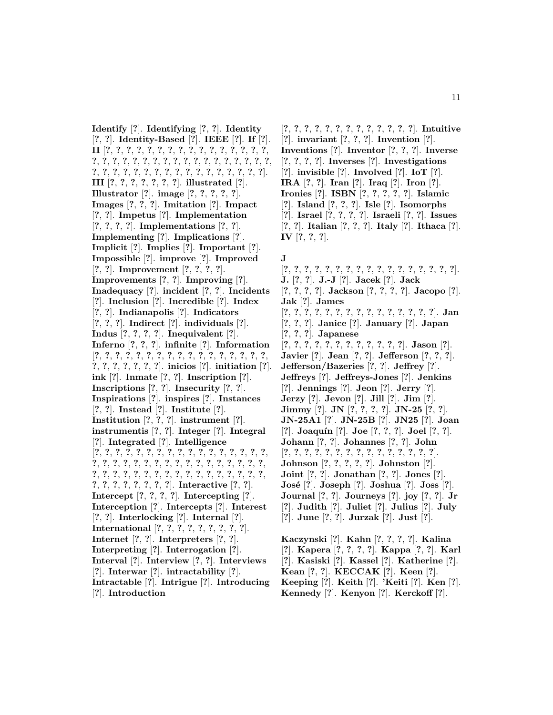**Identify** [**?**]. **Identifying** [**?**, **?**]. **Identity** [**?**, **?**]. **Identity-Based** [**?**]. **IEEE** [**?**]. **If** [**?**]. **II** [**?**, **?**, **?**, **?**, **?**, **?**, **?**, **?**, **?**, **?**, **?**, **?**, **?**, **?**, **?**, **?**, **?**, **?**, **?**, **?**, **?**, **?**, **?**, **?**, **?**, **?**, **?**, **?**, **?**, **?**, **?**, **?**, **?**, **?**, **?**, **?**, **?**, **?**, **?**, **?**, **?**, **?**, **?**, **?**, **?**, **?**, **?**, **?**, **?**, **?**, **?**]. **III** [**?**, **?**, **?**, **?**, **?**, **?**, **?**]. **illustrated** [**?**]. **Illustrator** [**?**]. **image** [**?**, **?**, **?**, **?**, **?**]. **Images** [**?**, **?**, **?**]. **Imitation** [**?**]. **Impact** [**?**, **?**]. **Impetus** [**?**]. **Implementation** [**?**, **?**, **?**, **?**]. **Implementations** [**?**, **?**]. **Implementing** [**?**]. **Implications** [**?**]. **Implicit** [**?**]. **Implies** [**?**]. **Important** [**?**]. **Impossible** [**?**]. **improve** [**?**]. **Improved** [**?**, **?**]. **Improvement** [**?**, **?**, **?**, **?**]. **Improvements** [**?**, **?**]. **Improving** [**?**]. **Inadequacy** [**?**]. **incident** [**?**, **?**]. **Incidents** [**?**]. **Inclusion** [**?**]. **Incredible** [**?**]. **Index** [**?**, **?**]. **Indianapolis** [**?**]. **Indicators** [**?**, **?**, **?**]. **Indirect** [**?**]. **individuals** [**?**]. **Indus** [**?**, **?**, **?**, **?**]. **Inequivalent** [**?**]. **Inferno** [**?**, **?**, **?**]. **infinite** [**?**]. **Information** [**?**, **?**, **?**, **?**, **?**, **?**, **?**, **?**, **?**, **?**, **?**, **?**, **?**, **?**, **?**, **?**, **?**, **?**, **?**, **?**, **?**, **?**, **?**, **?**]. **inicios** [**?**]. **initiation** [**?**]. **ink** [**?**]. **Inmate** [**?**, **?**]. **Inscription** [**?**]. **Inscriptions** [**?**, **?**]. **Insecurity** [**?**, **?**]. **Inspirations** [**?**]. **inspires** [**?**]. **Instances** [**?**, **?**]. **Instead** [**?**]. **Institute** [**?**]. **Institution** [**?**, **?**, **?**]. **instrument** [**?**]. **instrumentis** [**?**, **?**]. **Integer** [**?**]. **Integral** [**?**]. **Integrated** [**?**]. **Intelligence** [**?**, **?**, **?**, **?**, **?**, **?**, **?**, **?**, **?**, **?**, **?**, **?**, **?**, **?**, **?**, **?**, **?**, **?**, **?**, **?**, **?**, **?**, **?**, **?**, **?**, **?**, **?**, **?**, **?**, **?**, **?**, **?**, **?**, **?**, **?**, **?**, **?**, **?**, **?**, **?**, **?**, **?**, **?**, **?**, **?**, **?**, **?**, **?**, **?**, **?**, **?**, **?**, **?**, **?**, **?**, **?**, **?**, **?**, **?**]. **Interactive** [**?**, **?**]. **Intercept** [**?**, **?**, **?**, **?**]. **Intercepting** [**?**]. **Interception** [**?**]. **Intercepts** [**?**]. **Interest** [**?**, **?**]. **Interlocking** [**?**]. **Internal** [**?**]. **International** [**?**, **?**, **?**, **?**, **?**, **?**, **?**, **?**, **?**]. **Internet** [**?**, **?**]. **Interpreters** [**?**, **?**]. **Interpreting** [**?**]. **Interrogation** [**?**]. **Interval** [**?**]. **Interview** [**?**, **?**]. **Interviews** [**?**]. **Interwar** [**?**]. **intractability** [**?**]. **Intractable** [**?**]. **Intrigue** [**?**]. **Introducing** [**?**]. **Introduction**

[**?**, **?**, **?**, **?**, **?**, **?**, **?**, **?**, **?**, **?**, **?**, **?**, **?**]. **Intuitive** [**?**]. **invariant** [**?**, **?**, **?**]. **Invention** [**?**]. **Inventions** [**?**]. **Inventor** [**?**, **?**, **?**]. **Inverse** [**?**, **?**, **?**, **?**]. **Inverses** [**?**]. **Investigations** [**?**]. **invisible** [**?**]. **Involved** [**?**]. **IoT** [**?**]. **IRA** [**?**, **?**]. **Iran** [**?**]. **Iraq** [**?**]. **Iron** [**?**]. **Ironies** [**?**]. **ISBN** [**?**, **?**, **?**, **?**, **?**]. **Islamic** [**?**]. **Island** [**?**, **?**, **?**]. **Isle** [**?**]. **Isomorphs** [**?**]. **Israel** [**?**, **?**, **?**, **?**]. **Israeli** [**?**, **?**]. **Issues** [**?**, **?**]. **Italian** [**?**, **?**, **?**]. **Italy** [**?**]. **Ithaca** [**?**]. **IV** [**?**, **?**, **?**].

## **J**

[**?**, **?**, **?**, **?**, **?**, **?**, **?**, **?**, **?**, **?**, **?**, **?**, **?**, **?**, **?**, **?**, **?**]. **J.** [**?**, **?**]. **J.-J** [**?**]. **Jacek** [**?**]. **Jack** [**?**, **?**, **?**, **?**]. **Jackson** [**?**, **?**, **?**, **?**]. **Jacopo** [**?**]. **Jak** [**?**]. **James** [**?**, **?**, **?**, **?**, **?**, **?**, **?**, **?**, **?**, **?**, **?**, **?**, **?**, **?**, **?**]. **Jan** [**?**, **?**, **?**]. **Janice** [**?**]. **January** [**?**]. **Japan** [**?**, **?**, **?**]. **Japanese** [**?**, **?**, **?**, **?**, **?**, **?**, **?**, **?**, **?**, **?**, **?**, **?**]. **Jason** [**?**]. **Javier** [**?**]. **Jean** [**?**, **?**]. **Jefferson** [**?**, **?**, **?**]. **Jefferson/Bazeries** [**?**, **?**]. **Jeffrey** [**?**]. **Jeffreys** [**?**]. **Jeffreys-Jones** [**?**]. **Jenkins** [**?**]. **Jennings** [**?**]. **Jeon** [**?**]. **Jerry** [**?**]. **Jerzy** [**?**]. **Jevon** [**?**]. **Jill** [**?**]. **Jim** [**?**]. **Jimmy** [**?**]. **JN** [**?**, **?**, **?**, **?**]. **JN-25** [**?**, **?**]. **JN-25A1** [**?**]. **JN-25B** [**?**]. **JN25** [**?**]. **Joan** [**?**]. **Joaqu´ın** [**?**]. **Joe** [**?**, **?**, **?**]. **Joel** [**?**, **?**]. **Johann** [**?**, **?**]. **Johannes** [**?**, **?**]. **John** [**?**, **?**, **?**, **?**, **?**, **?**, **?**, **?**, **?**, **?**, **?**, **?**, **?**, **?**, **?**]. **Johnson** [**?**, **?**, **?**, **?**, **?**]. **Johnston** [**?**]. **Joint** [**?**, **?**]. **Jonathan** [**?**, **?**]. **Jones** [**?**]. **Jos´e** [**?**]. **Joseph** [**?**]. **Joshua** [**?**]. **Joss** [**?**]. **Journal** [**?**, **?**]. **Journeys** [**?**]. **joy** [**?**, **?**]. **Jr** [**?**]. **Judith** [**?**]. **Juliet** [**?**]. **Julius** [**?**]. **July** [**?**]. **June** [**?**, **?**]. **Jurzak** [**?**]. **Just** [**?**]. **Kaczynski** [**?**]. **Kahn** [**?**, **?**, **?**, **?**]. **Kalina**

[**?**]. **Kapera** [**?**, **?**, **?**, **?**]. **Kappa** [**?**, **?**]. **Karl** [**?**]. **Kasiski** [**?**]. **Kassel** [**?**]. **Katherine** [**?**]. **Kean** [**?**, **?**]. **KECCAK** [**?**]. **Keen** [**?**]. **Keeping** [**?**]. **Keith** [**?**]. **'Keiti** [**?**]. **Ken** [**?**]. **Kennedy** [**?**]. **Kenyon** [**?**]. **Kerckoff** [**?**].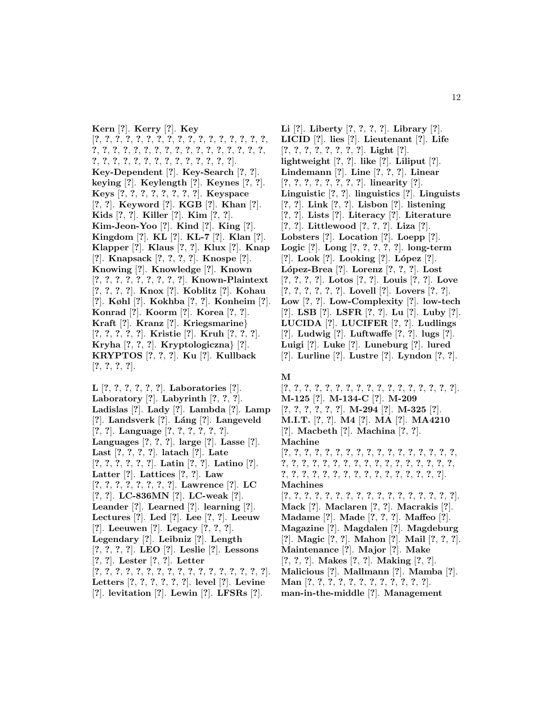**Kern** [**?**]. **Kerry** [**?**]. **Key** [**?**, **?**, **?**, **?**, **?**, **?**, **?**, **?**, **?**, **?**, **?**, **?**, **?**, **?**, **?**, **?**, **?**, **?**, **?**, **?**, **?**, **?**, **?**, **?**, **?**, **?**, **?**, **?**, **?**, **?**, **?**, **?**, **?**, **?**, **?**, **?**, **?**, **?**, **?**, **?**, **?**, **?**, **?**, **?**, **?**, **?**, **?**, **?**]. **Key-Dependent** [**?**]. **Key-Search** [**?**, **?**]. **keying** [**?**]. **Keylength** [**?**]. **Keynes** [**?**, **?**]. **Keys** [**?**, **?**, **?**, **?**, **?**, **?**, **?**, **?**]. **Keyspace** [**?**, **?**]. **Keyword** [**?**]. **KGB** [**?**]. **Khan** [**?**]. **Kids** [**?**, **?**]. **Killer** [**?**]. **Kim** [**?**, **?**]. **Kim-Jeon-Yoo** [**?**]. **Kind** [**?**]. **King** [**?**]. **Kingdom** [**?**]. **KL** [**?**]. **KL-7** [**?**]. **Klan** [**?**]. **Klapper** [**?**]. **Klaus** [**?**, **?**]. **Klux** [**?**]. **Knap** [**?**]. **Knapsack** [**?**, **?**, **?**, **?**]. **Knospe** [**?**]. **Knowing** [**?**]. **Knowledge** [**?**]. **Known** [**?**, **?**, **?**, **?**, **?**, **?**, **?**, **?**, **?**]. **Known-Plaintext** [**?**, **?**, **?**, **?**]. **Knox** [**?**]. **Koblitz** [**?**]. **Kohau** [**?**]. **Køhl** [**?**]. **Kokhba** [**?**, **?**]. **Konheim** [**?**]. **Konrad** [**?**]. **Koorm** [**?**]. **Korea** [**?**, **?**]. **Kraft** [**?**]. **Kranz** [**?**]. **Kriegsmarine**} [**?**, **?**, **?**, **?**, **?**]. **Kristie** [**?**]. **Kruh** [**?**, **?**, **?**]. **Kryha** [**?**, **?**, **?**]. **Kryptologiczna**} [**?**]. **KRYPTOS** [**?**, **?**, **?**]. **Ku** [**?**]. **Kullback** [**?**, **?**, **?**, **?**].

**L** [**?**, **?**, **?**, **?**, **?**, **?**]. **Laboratories** [**?**]. **Laboratory** [**?**]. **Labyrinth** [**?**, **?**, **?**]. **Ladislas** [**?**]. **Lady** [**?**]. **Lambda** [**?**]. **Lamp** [**?**]. **Landsverk** [**?**]. **L´ang** [**?**]. **Langeveld** [**?**, **?**]. **Language** [**?**, **?**, **?**, **?**, **?**, **?**]. **Languages** [**?**, **?**, **?**]. **large** [**?**]. **Lasse** [**?**]. **Last** [**?**, **?**, **?**, **?**]. **latach** [**?**]. **Late** [**?**, **?**, **?**, **?**, **?**, **?**]. **Latin** [**?**, **?**]. **Latino** [**?**]. **Latter** [**?**]. **Lattices** [**?**, **?**]. **Law** [**?**, **?**, **?**, **?**, **?**, **?**, **?**, **?**]. **Lawrence** [**?**]. **LC** [**?**, **?**]. **LC-836MN** [**?**]. **LC-weak** [**?**]. **Leander** [**?**]. **Learned** [**?**]. **learning** [**?**]. **Lectures** [**?**]. **Led** [**?**]. **Lee** [**?**, **?**]. **Leeuw** [**?**]. **Leeuwen** [**?**]. **Legacy** [**?**, **?**, **?**]. **Legendary** [**?**]. **Leibniz** [**?**]. **Length** [**?**, **?**, **?**, **?**]. **LEO** [**?**]. **Leslie** [**?**]. **Lessons** [**?**, **?**]. **Lester** [**?**, **?**]. **Letter** [**?**, **?**, **?**, **?**, **?**, **?**, **?**, **?**, **?**, **?**, **?**, **?**, **?**, **?**, **?**, **?**, **?**]. **Letters** [**?**, **?**, **?**, **?**, **?**, **?**]. **level** [**?**]. **Levine** [**?**]. **levitation** [**?**]. **Lewin** [**?**]. **LFSRs** [**?**].

**Li** [**?**]. **Liberty** [**?**, **?**, **?**, **?**]. **Library** [**?**]. **LICID** [**?**]. **lies** [**?**]. **Lieutenant** [**?**]. **Life** [**?**, **?**, **?**, **?**, **?**, **?**, **?**, **?**]. **Light** [**?**]. **lightweight** [**?**, **?**]. **like** [**?**]. **Liliput** [**?**]. **Lindemann** [**?**]. **Line** [**?**, **?**, **?**]. **Linear** [**?**, **?**, **?**, **?**, **?**, **?**, **?**, **?**]. **linearity** [**?**]. **Linguistic** [**?**, **?**]. **linguistics** [**?**]. **Linguists** [**?**, **?**]. **Link** [**?**, **?**]. **Lisbon** [**?**]. **listening** [**?**, **?**]. **Lists** [**?**]. **Literacy** [**?**]. **Literature** [**?**, **?**]. **Littlewood** [**?**, **?**, **?**]. **Liza** [**?**]. **Lobsters** [**?**]. **Location** [**?**]. **Loepp** [**?**]. **Logic** [**?**]. **Long** [**?**, **?**, **?**, **?**, **?**]. **long-term** [**?**]. **Look** [**?**]. **Looking** [**?**]. **L´opez** [**?**]. **L´opez-Brea** [**?**]. **Lorenz** [**?**, **?**, **?**]. **Lost** [**?**, **?**, **?**, **?**]. **Lotos** [**?**, **?**]. **Louis** [**?**, **?**]. **Love** [**?**, **?**, **?**, **?**, **?**, **?**]. **Lovell** [**?**]. **Lovers** [**?**, **?**]. **Low** [**?**, **?**]. **Low-Complexity** [**?**]. **low-tech** [**?**]. **LSB** [**?**]. **LSFR** [**?**, **?**]. **Lu** [**?**]. **Luby** [**?**]. **LUCIDA** [**?**]. **LUCIFER** [**?**, **?**]. **Ludlings** [**?**]. **Ludwig** [**?**]. **Luftwaffe** [**?**, **?**]. **lugs** [**?**]. **Luigi** [**?**]. **Luke** [**?**]. **Luneburg** [**?**]. **lured** [**?**]. **Lurline** [**?**]. **Lustre** [**?**]. **Lyndon** [**?**, **?**].

## **M**

[**?**, **?**, **?**, **?**, **?**, **?**, **?**, **?**, **?**, **?**, **?**, **?**, **?**, **?**, **?**, **?**, **?**]. **M-125** [**?**]. **M-134-C** [**?**]. **M-209** [**?**, **?**, **?**, **?**, **?**, **?**]. **M-294** [**?**]. **M-325** [**?**]. **M.I.T.** [**?**, **?**]. **M4** [**?**]. **MA** [**?**]. **MA4210** [**?**]. **Macbeth** [**?**]. **Machina** [**?**, **?**]. **Machine** [**?**, **?**, **?**, **?**, **?**, **?**, **?**, **?**, **?**, **?**, **?**, **?**, **?**, **?**, **?**, **?**, **?**, **?**, **?**, **?**, **?**, **?**, **?**, **?**, **?**, **?**, **?**, **?**, **?**, **?**, **?**, **?**, **?**, **?**, **?**, **?**, **?**, **?**, **?**, **?**, **?**, **?**, **?**, **?**, **?**, **?**, **?**, **?**, **?**, **?**]. **Machines** [**?**, **?**, **?**, **?**, **?**, **?**, **?**, **?**, **?**, **?**, **?**, **?**, **?**, **?**, **?**, **?**, **?**]. **Mack** [**?**]. **Maclaren** [**?**, **?**]. **Macrakis** [**?**]. **Madame** [**?**]. **Made** [**?**, **?**, **?**]. **Maffeo** [**?**]. **Magazine** [**?**]. **Magdalen** [**?**]. **Magdeburg** [**?**]. **Magic** [**?**, **?**]. **Mahon** [**?**]. **Mail** [**?**, **?**, **?**]. **Maintenance** [**?**]. **Major** [**?**]. **Make** [**?**, **?**, **?**]. **Makes** [**?**, **?**]. **Making** [**?**, **?**]. **Malicious** [**?**]. **Mallmann** [**?**]. **Mamba** [**?**]. **Man** [**?**, **?**, **?**, **?**, **?**, **?**, **?**, **?**, **?**, **?**, **?**, **?**]. **man-in-the-middle** [**?**]. **Management**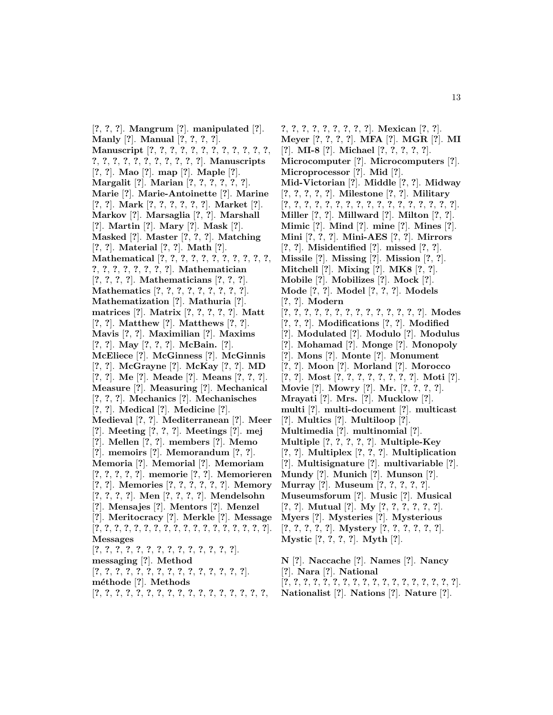[**?**, **?**, **?**]. **Mangrum** [**?**]. **manipulated** [**?**]. **Manly** [**?**]. **Manual** [**?**, **?**, **?**, **?**]. **Manuscript** [**?**, **?**, **?**, **?**, **?**, **?**, **?**, **?**, **?**, **?**, **?**, **?**, **?**, **?**, **?**, **?**, **?**, **?**, **?**, **?**, **?**, **?**, **?**]. **Manuscripts** [**?**, **?**]. **Mao** [**?**]. **map** [**?**]. **Maple** [**?**]. **Margalit** [**?**]. **Marian** [**?**, **?**, **?**, **?**, **?**, **?**]. **Marie** [**?**]. **Marie-Antoinette** [**?**]. **Marine** [**?**, **?**]. **Mark** [**?**, **?**, **?**, **?**, **?**, **?**]. **Market** [**?**]. **Markov** [**?**]. **Marsaglia** [**?**, **?**]. **Marshall** [**?**]. **Martin** [**?**]. **Mary** [**?**]. **Mask** [**?**]. **Masked** [**?**]. **Master** [**?**, **?**, **?**]. **Matching** [**?**, **?**]. **Material** [**?**, **?**]. **Math** [**?**]. **Mathematical** [**?**, **?**, **?**, **?**, **?**, **?**, **?**, **?**, **?**, **?**, **?**, **?**, **?**, **?**, **?**, **?**, **?**, **?**, **?**]. **Mathematician** [**?**, **?**, **?**, **?**]. **Mathematicians** [**?**, **?**, **?**]. **Mathematics** [**?**, **?**, **?**, **?**, **?**, **?**, **?**, **?**, **?**]. **Mathematization** [**?**]. **Mathuria** [**?**]. **matrices** [**?**]. **Matrix** [**?**, **?**, **?**, **?**, **?**]. **Matt** [**?**, **?**]. **Matthew** [**?**]. **Matthews** [**?**, **?**]. **Mavis** [**?**, **?**]. **Maximilian** [**?**]. **Maxims** [**?**, **?**]. **May** [**?**, **?**, **?**]. **McBain.** [**?**]. **McEliece** [**?**]. **McGinness** [**?**]. **McGinnis** [**?**, **?**]. **McGrayne** [**?**]. **McKay** [**?**, **?**]. **MD** [**?**, **?**]. **Me** [**?**]. **Meade** [**?**]. **Means** [**?**, **?**, **?**]. **Measure** [**?**]. **Measuring** [**?**]. **Mechanical** [**?**, **?**, **?**]. **Mechanics** [**?**]. **Mechanisches** [**?**, **?**]. **Medical** [**?**]. **Medicine** [**?**]. **Medieval** [**?**, **?**]. **Mediterranean** [**?**]. **Meer** [**?**]. **Meeting** [**?**, **?**, **?**]. **Meetings** [**?**]. **mej** [**?**]. **Mellen** [**?**, **?**]. **members** [**?**]. **Memo** [**?**]. **memoirs** [**?**]. **Memorandum** [**?**, **?**]. **Memoria** [**?**]. **Memorial** [**?**]. **Memoriam** [**?**, **?**, **?**, **?**, **?**]. **memorie** [**?**, **?**]. **Memorieren** [**?**, **?**]. **Memories** [**?**, **?**, **?**, **?**, **?**, **?**]. **Memory** [**?**, **?**, **?**, **?**]. **Men** [**?**, **?**, **?**, **?**]. **Mendelsohn** [**?**]. **Mensajes** [**?**]. **Mentors** [**?**]. **Menzel** [**?**]. **Meritocracy** [**?**]. **Merkle** [**?**]. **Message** [**?**, **?**, **?**, **?**, **?**, **?**, **?**, **?**, **?**, **?**, **?**, **?**, **?**, **?**, **?**, **?**, **?**, **?**]. **Messages** [**?**, **?**, **?**, **?**, **?**, **?**, **?**, **?**, **?**, **?**, **?**, **?**, **?**, **?**]. **messaging** [**?**]. **Method** [**?**, **?**, **?**, **?**, **?**, **?**, **?**, **?**, **?**, **?**, **?**, **?**, **?**, **?**, **?**]. **m´ethode** [**?**]. **Methods** [**?**, **?**, **?**, **?**, **?**, **?**, **?**, **?**, **?**, **?**, **?**, **?**, **?**, **?**, **?**, **?**, **?**,

**?**, **?**, **?**, **?**, **?**, **?**, **?**, **?**, **?**]. **Mexican** [**?**, **?**]. **Meyer** [**?**, **?**, **?**, **?**]. **MFA** [**?**]. **MGR** [**?**]. **MI** [**?**]. **MI-8** [**?**]. **Michael** [**?**, **?**, **?**, **?**, **?**]. **Microcomputer** [**?**]. **Microcomputers** [**?**]. **Microprocessor** [**?**]. **Mid** [**?**]. **Mid-Victorian** [**?**]. **Middle** [**?**, **?**]. **Midway** [**?**, **?**, **?**, **?**, **?**]. **Milestone** [**?**, **?**]. **Military** [**?**, **?**, **?**, **?**, **?**, **?**, **?**, **?**, **?**, **?**, **?**, **?**, **?**, **?**, **?**, **?**, **?**]. **Miller** [**?**, **?**]. **Millward** [**?**]. **Milton** [**?**, **?**]. **Mimic** [**?**]. **Mind** [**?**]. **mine** [**?**]. **Mines** [**?**]. **Mini** [**?**, **?**, **?**]. **Mini-AES** [**?**, **?**]. **Mirrors** [**?**, **?**]. **Misidentified** [**?**]. **missed** [**?**, **?**]. **Missile** [**?**]. **Missing** [**?**]. **Mission** [**?**, **?**]. **Mitchell** [**?**]. **Mixing** [**?**]. **MK8** [**?**, **?**]. **Mobile** [**?**]. **Mobilizes** [**?**]. **Mock** [**?**]. **Mode** [**?**, **?**]. **Model** [**?**, **?**, **?**]. **Models** [**?**, **?**]. **Modern** [**?**, **?**, **?**, **?**, **?**, **?**, **?**, **?**, **?**, **?**, **?**, **?**, **?**, **?**]. **Modes** [**?**, **?**, **?**]. **Modifications** [**?**, **?**]. **Modified** [**?**]. **Modulated** [**?**]. **Modulo** [**?**]. **Modulus** [**?**]. **Mohamad** [**?**]. **Monge** [**?**]. **Monopoly** [**?**]. **Mons** [**?**]. **Monte** [**?**]. **Monument** [**?**, **?**]. **Moon** [**?**]. **Morland** [**?**]. **Morocco** [**?**, **?**]. **Most** [**?**, **?**, **?**, **?**, **?**, **?**, **?**, **?**]. **Moti** [**?**]. **Movie** [**?**]. **Mowry** [**?**]. **Mr.** [**?**, **?**, **?**, **?**]. **Mrayati** [**?**]. **Mrs.** [**?**]. **Mucklow** [**?**]. **multi** [**?**]. **multi-document** [**?**]. **multicast** [**?**]. **Multics** [**?**]. **Multiloop** [**?**]. **Multimedia** [**?**]. **multinomial** [**?**]. **Multiple** [**?**, **?**, **?**, **?**, **?**]. **Multiple-Key** [**?**, **?**]. **Multiplex** [**?**, **?**, **?**]. **Multiplication** [**?**]. **Multisignature** [**?**]. **multivariable** [**?**]. **Mundy** [**?**]. **Munich** [**?**]. **Munson** [**?**]. **Murray** [**?**]. **Museum** [**?**, **?**, **?**, **?**, **?**]. **Museumsforum** [**?**]. **Music** [**?**]. **Musical** [**?**, **?**]. **Mutual** [**?**]. **My** [**?**, **?**, **?**, **?**, **?**, **?**]. **Myers** [**?**]. **Mysteries** [**?**]. **Mysterious** [**?**, **?**, **?**, **?**, **?**]. **Mystery** [**?**, **?**, **?**, **?**, **?**, **?**]. **Mystic** [**?**, **?**, **?**, **?**]. **Myth** [**?**]. **N** [**?**]. **Naccache** [**?**]. **Names** [**?**]. **Nancy**

[**?**]. **Nara** [**?**]. **National**

[**?**, **?**, **?**, **?**, **?**, **?**, **?**, **?**, **?**, **?**, **?**, **?**, **?**, **?**, **?**, **?**, **?**, **?**]. **Nationalist** [**?**]. **Nations** [**?**]. **Nature** [**?**].

13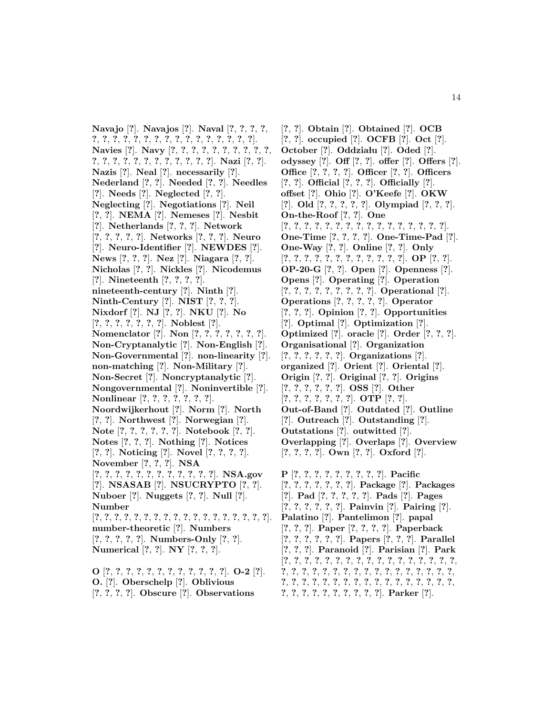**Navajo** [**?**]. **Navajos** [**?**]. **Naval** [**?**, **?**, **?**, **?**, **?**, **?**, **?**, **?**, **?**, **?**, **?**, **?**, **?**, **?**, **?**, **?**, **?**, **?**, **?**, **?**]. **Navies** [**?**]. **Navy** [**?**, **?**, **?**, **?**, **?**, **?**, **?**, **?**, **?**, **?**, **?**, **?**, **?**, **?**, **?**, **?**, **?**, **?**, **?**, **?**, **?**, **?**]. **Nazi** [**?**, **?**]. **Nazis** [**?**]. **Neal** [**?**]. **necessarily** [**?**]. **Nederland** [**?**, **?**]. **Needed** [**?**, **?**]. **Needles** [**?**]. **Needs** [**?**]. **Neglected** [**?**, **?**]. **Neglecting** [**?**]. **Negotiations** [**?**]. **Neil** [**?**, **?**]. **NEMA** [**?**]. **Nemeses** [**?**]. **Nesbit** [**?**]. **Netherlands** [**?**, **?**, **?**]. **Network** [**?**, **?**, **?**, **?**, **?**]. **Networks** [**?**, **?**, **?**]. **Neuro** [**?**]. **Neuro-Identifier** [**?**]. **NEWDES** [**?**]. **News** [**?**, **?**, **?**]. **Nez** [**?**]. **Niagara** [**?**, **?**]. **Nicholas** [**?**, **?**]. **Nickles** [**?**]. **Nicodemus** [**?**]. **Nineteenth** [**?**, **?**, **?**, **?**]. **nineteenth-century** [**?**]. **Ninth** [**?**]. **Ninth-Century** [**?**]. **NIST** [**?**, **?**, **?**]. **Nixdorf** [**?**]. **NJ** [**?**, **?**]. **NKU** [**?**]. **No** [**?**, **?**, **?**, **?**, **?**, **?**, **?**]. **Noblest** [**?**]. **Nomenclator** [**?**]. **Non** [**?**, **?**, **?**, **?**, **?**, **?**, **?**]. **Non-Cryptanalytic** [**?**]. **Non-English** [**?**]. **Non-Governmental** [**?**]. **non-linearity** [**?**]. **non-matching** [**?**]. **Non-Military** [**?**]. **Non-Secret** [**?**]. **Noncryptanalytic** [**?**]. **Nongovernmental** [**?**]. **Noninvertible** [**?**]. **Nonlinear** [**?**, **?**, **?**, **?**, **?**, **?**, **?**]. **Noordwijkerhout** [**?**]. **Norm** [**?**]. **North** [**?**, **?**]. **Northwest** [**?**]. **Norwegian** [**?**]. **Note** [**?**, **?**, **?**, **?**, **?**, **?**]. **Notebook** [**?**, **?**]. **Notes** [**?**, **?**, **?**]. **Nothing** [**?**]. **Notices** [**?**, **?**]. **Noticing** [**?**]. **Novel** [**?**, **?**, **?**, **?**]. **November** [**?**, **?**, **?**]. **NSA** [**?**, **?**, **?**, **?**, **?**, **?**, **?**, **?**, **?**, **?**, **?**, **?**]. **NSA.gov** [**?**]. **NSASAB** [**?**]. **NSUCRYPTO** [**?**, **?**]. **Nuboer** [**?**]. **Nuggets** [**?**, **?**]. **Null** [**?**]. **Number** [**?**, **?**, **?**, **?**, **?**, **?**, **?**, **?**, **?**, **?**, **?**, **?**, **?**, **?**, **?**, **?**, **?**, **?**]. **number-theoretic** [**?**]. **Numbers** [**?**, **?**, **?**, **?**, **?**]. **Numbers-Only** [**?**, **?**]. **Numerical** [**?**, **?**]. **NY** [**?**, **?**, **?**]. **O** [**?**, **?**, **?**, **?**, **?**, **?**, **?**, **?**, **?**, **?**, **?**, **?**]. **O-2** [**?**].

**O.** [**?**]. **Oberschelp** [**?**]. **Oblivious** [**?**, **?**, **?**, **?**]. **Obscure** [**?**]. **Observations**

[**?**, **?**]. **Obtain** [**?**]. **Obtained** [**?**]. **OCB** [**?**, **?**]. **occupied** [**?**]. **OCFB** [**?**]. **Oct** [**?**]. **October** [**?**]. **Oddzia lu** [**?**]. **Oded** [**?**]. **odyssey** [**?**]. **Off** [**?**, **?**]. **offer** [**?**]. **Offers** [**?**]. **Office** [**?**, **?**, **?**, **?**]. **Officer** [**?**, **?**]. **Officers** [**?**, **?**]. **Official** [**?**, **?**, **?**]. **Officially** [**?**]. **offset** [**?**]. **Ohio** [**?**]. **O'Keefe** [**?**]. **OKW** [**?**]. **Old** [**?**, **?**, **?**, **?**, **?**]. **Olympiad** [**?**, **?**, **?**]. **On-the-Roof** [**?**, **?**]. **One** [**?**, **?**, **?**, **?**, **?**, **?**, **?**, **?**, **?**, **?**, **?**, **?**, **?**, **?**, **?**, **?**]. **One-Time** [**?**, **?**, **?**, **?**]. **One-Time-Pad** [**?**]. **One-Way** [**?**, **?**]. **Online** [**?**, **?**]. **Only** [**?**, **?**, **?**, **?**, **?**, **?**, **?**, **?**, **?**, **?**, **?**, **?**]. **OP** [**?**, **?**]. **OP-20-G** [**?**, **?**]. **Open** [**?**]. **Openness** [**?**]. **Opens** [**?**]. **Operating** [**?**]. **Operation** [**?**, **?**, **?**, **?**, **?**, **?**, **?**, **?**, **?**]. **Operational** [**?**]. **Operations** [**?**, **?**, **?**, **?**, **?**]. **Operator** [**?**, **?**, **?**]. **Opinion** [**?**, **?**]. **Opportunities** [**?**]. **Optimal** [**?**]. **Optimization** [**?**]. **Optimized** [**?**]. **oracle** [**?**]. **Order** [**?**, **?**, **?**]. **Organisational** [**?**]. **Organization** [**?**, **?**, **?**, **?**, **?**, **?**]. **Organizations** [**?**]. **organized** [**?**]. **Orient** [**?**]. **Oriental** [**?**]. **Origin** [**?**, **?**]. **Original** [**?**, **?**]. **Origins** [**?**, **?**, **?**, **?**, **?**, **?**]. **OSS** [**?**]. **Other** [**?**, **?**, **?**, **?**, **?**, **?**, **?**]. **OTP** [**?**, **?**]. **Out-of-Band** [**?**]. **Outdated** [**?**]. **Outline** [**?**]. **Outreach** [**?**]. **Outstanding** [**?**]. **Outstations** [**?**]. **outwitted** [**?**]. **Overlapping** [**?**]. **Overlaps** [**?**]. **Overview** [**?**, **?**, **?**, **?**]. **Own** [**?**, **?**]. **Oxford** [**?**]. **P** [**?**, **?**, **?**, **?**, **?**, **?**, **?**, **?**, **?**]. **Pacific**

[**?**, **?**, **?**, **?**, **?**, **?**, **?**]. **Package** [**?**]. **Packages** [**?**]. **Pad** [**?**, **?**, **?**, **?**, **?**]. **Pads** [**?**]. **Pages** [**?**, **?**, **?**, **?**, **?**, **?**]. **Painvin** [**?**]. **Pairing** [**?**]. **Palatino** [**?**]. **Pantelimon** [**?**]. **papal** [**?**, **?**, **?**]. **Paper** [**?**, **?**, **?**, **?**]. **Paperback** [**?**, **?**, **?**, **?**, **?**, **?**]. **Papers** [**?**, **?**, **?**]. **Parallel** [**?**, **?**, **?**]. **Paranoid** [**?**]. **Parisian** [**?**]. **Park** [**?**, **?**, **?**, **?**, **?**, **?**, **?**, **?**, **?**, **?**, **?**, **?**, **?**, **?**, **?**, **?**, **?**, **?**, **?**, **?**, **?**, **?**, **?**, **?**, **?**, **?**, **?**, **?**, **?**, **?**, **?**, **?**, **?**, **?**, **?**, **?**, **?**, **?**, **?**, **?**, **?**, **?**, **?**, **?**, **?**, **?**, **?**, **?**, **?**, **?**, **?**, **?**, **?**, **?**, **?**, **?**, **?**, **?**, **?**, **?**, **?**]. **Parker** [**?**].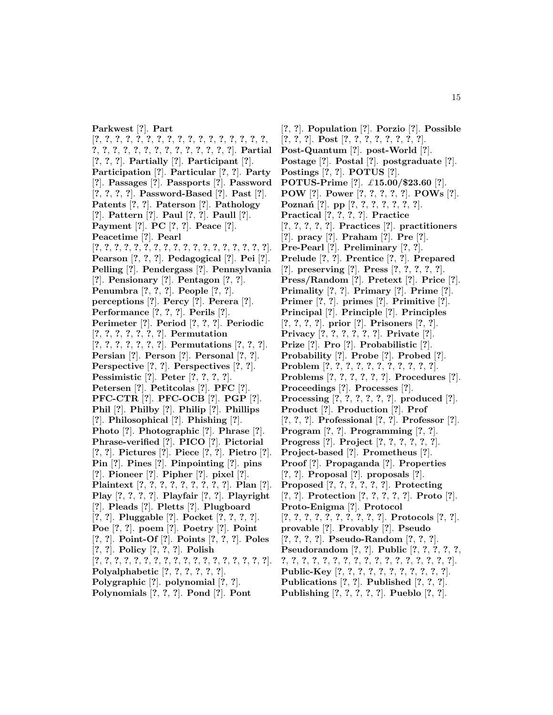**Parkwest** [**?**]. **Part** [**?**, **?**, **?**, **?**, **?**, **?**, **?**, **?**, **?**, **?**, **?**, **?**, **?**, **?**, **?**, **?**, **?**, **?**, **?**, **?**, **?**, **?**, **?**, **?**, **?**, **?**, **?**, **?**, **?**, **?**, **?**]. **Partial** [**?**, **?**, **?**]. **Partially** [**?**]. **Participant** [**?**]. **Participation** [**?**]. **Particular** [**?**, **?**]. **Party** [**?**]. **Passages** [**?**]. **Passports** [**?**]. **Password** [**?**, **?**, **?**, **?**]. **Password-Based** [**?**]. **Past** [**?**]. **Patents** [**?**, **?**]. **Paterson** [**?**]. **Pathology** [**?**]. **Pattern** [**?**]. **Paul** [**?**, **?**]. **Paull** [**?**]. **Payment** [**?**]. **PC** [**?**, **?**]. **Peace** [**?**]. **Peacetime** [**?**]. **Pearl** [**?**, **?**, **?**, **?**, **?**, **?**, **?**, **?**, **?**, **?**, **?**, **?**, **?**, **?**, **?**, **?**, **?**, **?**]. **Pearson** [**?**, **?**, **?**]. **Pedagogical** [**?**]. **Pei** [**?**]. **Pelling** [**?**]. **Pendergass** [**?**]. **Pennsylvania** [**?**]. **Pensionary** [**?**]. **Pentagon** [**?**, **?**]. **Penumbra** [**?**, **?**, **?**]. **People** [**?**, **?**]. **perceptions** [**?**]. **Percy** [**?**]. **Perera** [**?**]. **Performance** [**?**, **?**, **?**]. **Perils** [**?**]. **Perimeter** [**?**]. **Period** [**?**, **?**, **?**]. **Periodic** [**?**, **?**, **?**, **?**, **?**, **?**, **?**]. **Permutation** [**?**, **?**, **?**, **?**, **?**, **?**, **?**]. **Permutations** [**?**, **?**, **?**]. **Persian** [**?**]. **Person** [**?**]. **Personal** [**?**, **?**]. **Perspective** [**?**, **?**]. **Perspectives** [**?**, **?**]. **Pessimistic** [**?**]. **Peter** [**?**, **?**, **?**, **?**]. **Petersen** [**?**]. **Petitcolas** [**?**]. **PFC** [**?**]. **PFC-CTR** [**?**]. **PFC-OCB** [**?**]. **PGP** [**?**]. **Phil** [**?**]. **Philby** [**?**]. **Philip** [**?**]. **Phillips** [**?**]. **Philosophical** [**?**]. **Phishing** [**?**]. **Photo** [**?**]. **Photographic** [**?**]. **Phrase** [**?**]. **Phrase-verified** [**?**]. **PICO** [**?**]. **Pictorial** [**?**, **?**]. **Pictures** [**?**]. **Piece** [**?**, **?**]. **Pietro** [**?**]. **Pin** [**?**]. **Pines** [**?**]. **Pinpointing** [**?**]. **pins** [**?**]. **Pioneer** [**?**]. **Pipher** [**?**]. **pixel** [**?**]. **Plaintext** [**?**, **?**, **?**, **?**, **?**, **?**, **?**, **?**, **?**]. **Plan** [**?**]. **Play** [**?**, **?**, **?**, **?**]. **Playfair** [**?**, **?**]. **Playright** [**?**]. **Pleads** [**?**]. **Pletts** [**?**]. **Plugboard** [**?**, **?**]. **Pluggable** [**?**]. **Pocket** [**?**, **?**, **?**, **?**]. **Poe** [**?**, **?**]. **poem** [**?**]. **Poetry** [**?**]. **Point** [**?**, **?**]. **Point-Of** [**?**]. **Points** [**?**, **?**, **?**]. **Poles** [**?**, **?**]. **Policy** [**?**, **?**, **?**]. **Polish** [**?**, **?**, **?**, **?**, **?**, **?**, **?**, **?**, **?**, **?**, **?**, **?**, **?**, **?**, **?**, **?**, **?**, **?**]. **Polyalphabetic** [**?**, **?**, **?**, **?**, **?**, **?**]. **Polygraphic** [**?**]. **polynomial** [**?**, **?**].

**Polynomials** [**?**, **?**, **?**]. **Pond** [**?**]. **Pont**

[**?**, **?**]. **Population** [**?**]. **Porzio** [**?**]. **Possible** [**?**, **?**, **?**]. **Post** [**?**, **?**, **?**, **?**, **?**, **?**, **?**, **?**]. **Post-Quantum** [**?**]. **post-World** [**?**]. **Postage** [**?**]. **Postal** [**?**]. **postgraduate** [**?**]. **Postings** [**?**, **?**]. **POTUS** [**?**]. **POTUS-Prime** [**?**]. £**15.00/\$23.60** [**?**]. **POW** [**?**]. **Power** [**?**, **?**, **?**, **?**, **?**]. **POWs** [**?**]. **Pozna´n** [**?**]. **pp** [**?**, **?**, **?**, **?**, **?**, **?**, **?**]. **Practical** [**?**, **?**, **?**, **?**]. **Practice** [**?**, **?**, **?**, **?**, **?**]. **Practices** [**?**]. **practitioners** [**?**]. **pracy** [**?**]. **Praham** [**?**]. **Pre** [**?**]. **Pre-Pearl** [**?**]. **Preliminary** [**?**, **?**]. **Prelude** [**?**, **?**]. **Prentice** [**?**, **?**]. **Prepared** [**?**]. **preserving** [**?**]. **Press** [**?**, **?**, **?**, **?**, **?**]. **Press/Random** [**?**]. **Pretext** [**?**]. **Price** [**?**]. **Primality** [**?**, **?**]. **Primary** [**?**]. **Prime** [**?**]. **Primer** [**?**, **?**]. **primes** [**?**]. **Primitive** [**?**]. **Principal** [**?**]. **Principle** [**?**]. **Principles** [**?**, **?**, **?**, **?**]. **prior** [**?**]. **Prisoners** [**?**, **?**]. **Privacy** [**?**, **?**, **?**, **?**, **?**, **?**]. **Private** [**?**]. **Prize** [**?**]. **Pro** [**?**]. **Probabilistic** [**?**]. **Probability** [**?**]. **Probe** [**?**]. **Probed** [**?**]. **Problem** [**?**, **?**, **?**, **?**, **?**, **?**, **?**, **?**, **?**, **?**, **?**]. **Problems** [**?**, **?**, **?**, **?**, **?**, **?**]. **Procedures** [**?**]. **Proceedings** [**?**]. **Processes** [**?**]. **Processing** [**?**, **?**, **?**, **?**, **?**, **?**]. **produced** [**?**]. **Product** [**?**]. **Production** [**?**]. **Prof** [**?**, **?**, **?**]. **Professional** [**?**, **?**]. **Professor** [**?**]. **Program** [**?**, **?**]. **Programming** [**?**, **?**]. **Progress** [**?**]. **Project** [**?**, **?**, **?**, **?**, **?**, **?**]. **Project-based** [**?**]. **Prometheus** [**?**]. **Proof** [**?**]. **Propaganda** [**?**]. **Properties** [**?**, **?**]. **Proposal** [**?**]. **proposals** [**?**]. **Proposed** [**?**, **?**, **?**, **?**, **?**, **?**]. **Protecting** [**?**, **?**]. **Protection** [**?**, **?**, **?**, **?**, **?**]. **Proto** [**?**]. **Proto-Enigma** [**?**]. **Protocol** [**?**, **?**, **?**, **?**, **?**, **?**, **?**, **?**, **?**, **?**]. **Protocols** [**?**, **?**]. **provable** [**?**]. **Provably** [**?**]. **Pseudo** [**?**, **?**, **?**, **?**]. **Pseudo-Random** [**?**, **?**, **?**]. **Pseudorandom** [**?**, **?**]. **Public** [**?**, **?**, **?**, **?**, **?**, **?**, **?**, **?**, **?**, **?**, **?**, **?**, **?**, **?**, **?**, **?**, **?**, **?**, **?**, **?**, **?**, **?**]. **Public-Key** [**?**, **?**, **?**, **?**, **?**, **?**, **?**, **?**, **?**, **?**, **?**].

**Publications** [**?**, **?**]. **Published** [**?**, **?**, **?**]. **Publishing** [**?**, **?**, **?**, **?**, **?**]. **Pueblo** [**?**, **?**].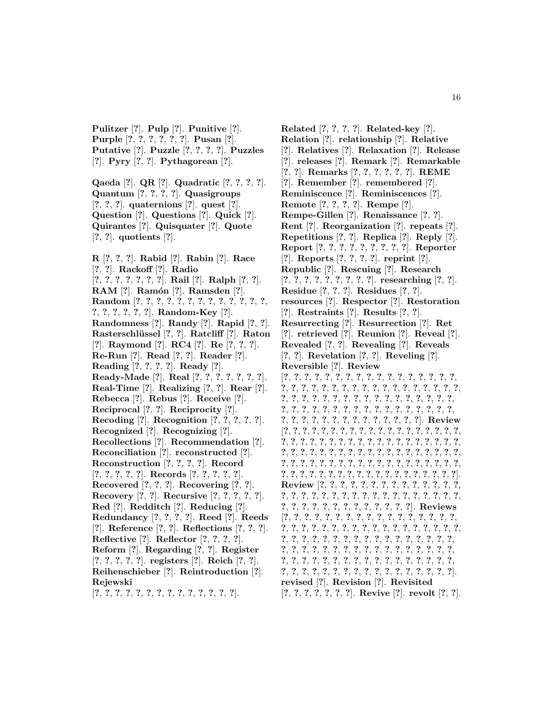**Pulitzer** [**?**]. **Pulp** [**?**]. **Punitive** [**?**]. **Purple** [**?**, **?**, **?**, **?**, **?**, **?**]. **Pusan** [**?**]. **Putative** [**?**]. **Puzzle** [**?**, **?**, **?**, **?**]. **Puzzles** [**?**]. **Pyry** [**?**, **?**]. **Pythagorean** [**?**].

**Qaeda** [**?**]. **QR** [**?**]. **Quadratic** [**?**, **?**, **?**, **?**]. **Quantum** [**?**, **?**, **?**, **?**]. **Quasigroups** [**?**, **?**, **?**]. **quaternions** [**?**]. **quest** [**?**]. **Question** [**?**]. **Questions** [**?**]. **Quick** [**?**]. **Quirantes** [**?**]. **Quisquater** [**?**]. **Quote** [**?**, **?**]. **quotients** [**?**].

**R** [**?**, **?**, **?**]. **Rabid** [**?**]. **Rabin** [**?**]. **Race** [**?**, **?**]. **Rackoff** [**?**]. **Radio** [**?**, **?**, **?**, **?**, **?**, **?**, **?**]. **Rail** [**?**]. **Ralph** [**?**, **?**]. **RAM** [**?**]. **Ram´on** [**?**]. **Ramsden** [**?**]. **Random** [**?**, **?**, **?**, **?**, **?**, **?**, **?**, **?**, **?**, **?**, **?**, **?**, **?**, **?**, **?**, **?**, **?**, **?**, **?**]. **Random-Key** [**?**]. **Randomness** [**?**]. **Randy** [**?**]. **Rapid** [**?**, **?**]. **Rasterschl¨ussel** [**?**, **?**]. **Ratcliff** [**?**]. **Raton** [**?**]. **Raymond** [**?**]. **RC4** [**?**]. **Re** [**?**, **?**, **?**]. **Re-Run** [**?**]. **Read** [**?**, **?**]. **Reader** [**?**]. **Reading** [**?**, **?**, **?**, **?**]. **Ready** [**?**]. **Ready-Made** [**?**]. **Real** [**?**, **?**, **?**, **?**, **?**, **?**, **?**]. **Real-Time** [**?**]. **Realizing** [**?**, **?**]. **Rear** [**?**]. **Rebecca** [**?**]. **Rebus** [**?**]. **Receive** [**?**]. **Reciprocal** [**?**, **?**]. **Reciprocity** [**?**]. **Recoding** [**?**]. **Recognition** [**?**, **?**, **?**, **?**, **?**]. **Recognized** [**?**]. **Recognizing** [**?**]. **Recollections** [**?**]. **Recommendation** [**?**]. **Reconciliation** [**?**]. **reconstructed** [**?**]. **Reconstruction** [**?**, **?**, **?**, **?**]. **Record** [**?**, **?**, **?**, **?**, **?**]. **Records** [**?**, **?**, **?**, **?**, **?**]. **Recovered** [**?**, **?**, **?**]. **Recovering** [**?**, **?**]. **Recovery** [**?**, **?**]. **Recursive** [**?**, **?**, **?**, **?**, **?**]. **Red** [**?**]. **Redditch** [**?**]. **Reducing** [**?**]. **Redundancy** [**?**, **?**, **?**, **?**]. **Reed** [**?**]. **Reeds** [**?**]. **Reference** [**?**, **?**]. **Reflections** [**?**, **?**, **?**]. **Reflective** [**?**]. **Reflector** [**?**, **?**, **?**, **?**]. **Reform** [**?**]. **Regarding** [**?**, **?**]. **Register** [**?**, **?**, **?**, **?**, **?**]. **registers** [**?**]. **Reich** [**?**, **?**]. **Reihenschieber** [**?**]. **Reintroduction** [**?**]. **Rejewski**

[**?**, **?**, **?**, **?**, **?**, **?**, **?**, **?**, **?**, **?**, **?**, **?**, **?**, **?**].

**Related** [**?**, **?**, **?**, **?**]. **Related-key** [**?**]. **Relation** [**?**]. **relationship** [**?**]. **Relative** [**?**]. **Relatives** [**?**]. **Relaxation** [**?**]. **Release** [**?**]. **releases** [**?**]. **Remark** [**?**]. **Remarkable** [**?**, **?**]. **Remarks** [**?**, **?**, **?**, **?**, **?**, **?**]. **REME** [**?**]. **Remember** [**?**]. **remembered** [**?**]. **Reminiscence** [**?**]. **Reminiscences** [**?**]. **Remote** [**?**, **?**, **?**, **?**]. **Rempe** [**?**]. **Rempe-Gillen** [**?**]. **Renaissance** [**?**, **?**]. **Rent** [**?**]. **Reorganization** [**?**]. **repeats** [**?**]. **Repetitions** [**?**, **?**]. **Replica** [**?**]. **Reply** [**?**]. **Report** [**?**, **?**, **?**, **?**, **?**, **?**, **?**, **?**, **?**]. **Reporter** [**?**]. **Reports** [**?**, **?**, **?**, **?**]. **reprint** [**?**]. **Republic** [**?**]. **Rescuing** [**?**]. **Research** [**?**, **?**, **?**, **?**, **?**, **?**, **?**, **?**, **?**]. **researching** [**?**, **?**]. **Residue** [**?**, **?**, **?**]. **Residues** [**?**, **?**]. **resources** [**?**]. **Respector** [**?**]. **Restoration** [**?**]. **Restraints** [**?**]. **Results** [**?**, **?**]. **Resurrecting** [**?**]. **Resurrection** [**?**]. **Ret** [**?**]. **retrieved** [**?**]. **Reunion** [**?**]. **Reveal** [**?**]. **Revealed** [**?**, **?**]. **Revealing** [**?**]. **Reveals** [**?**, **?**]. **Revelation** [**?**, **?**]. **Reveling** [**?**]. **Reversible** [**?**]. **Review** [**?**, **?**, **?**, **?**, **?**, **?**, **?**, **?**, **?**, **?**, **?**, **?**, **?**, **?**, **?**, **?**, **?**, **?**, **?**, **?**, **?**, **?**, **?**, **?**, **?**, **?**, **?**, **?**, **?**, **?**, **?**, **?**, **?**, **?**, **?**, **?**, **?**, **?**, **?**, **?**, **?**, **?**, **?**, **?**, **?**, **?**, **?**, **?**, **?**, **?**, **?**, **?**, **?**, **?**, **?**, **?**, **?**, **?**, **?**, **?**, **?**, **?**, **?**, **?**, **?**, **?**, **?**, **?**, **?**, **?**, **?**, **?**, **?**, **?**, **?**, **?**, **?**, **?**, **?**, **?**, **?**, **?**, **?**]. **Review** [**?**, **?**, **?**, **?**, **?**, **?**, **?**, **?**, **?**, **?**, **?**, **?**, **?**, **?**, **?**, **?**, **?**, **?**, **?**, **?**, **?**, **?**, **?**, **?**, **?**, **?**, **?**, **?**, **?**, **?**, **?**, **?**, **?**, **?**, **?**, **?**, **?**, **?**, **?**, **?**, **?**, **?**, **?**, **?**, **?**, **?**, **?**, **?**, **?**, **?**, **?**, **?**, **?**, **?**, **?**, **?**, **?**, **?**, **?**, **?**, **?**, **?**, **?**, **?**, **?**, **?**, **?**, **?**, **?**, **?**, **?**, **?**, **?**, **?**, **?**, **?**, **?**, **?**, **?**, **?**, **?**, **?**, **?**, **?**, **?**, **?**, **?**, **?**, **?**, **?**, **?**, **?**, **?**, **?**, **?**]. **Review** [**?**, **?**, **?**, **?**, **?**, **?**, **?**, **?**, **?**, **?**, **?**, **?**, **?**, **?**, **?**, **?**, **?**, **?**, **?**, **?**, **?**, **?**, **?**, **?**, **?**, **?**, **?**, **?**, **?**, **?**, **?**, **?**, **?**, **?**, **?**, **?**, **?**, **?**, **?**, **?**, **?**, **?**, **?**, **?**, **?**]. **Reviews** [**?**, **?**, **?**, **?**, **?**, **?**, **?**, **?**, **?**, **?**, **?**, **?**, **?**, **?**, **?**, **?**, **?**, **?**, **?**, **?**, **?**, **?**, **?**, **?**, **?**, **?**, **?**, **?**, **?**, **?**, **?**, **?**, **?**, **?**, **?**, **?**, **?**, **?**, **?**, **?**, **?**, **?**, **?**, **?**, **?**, **?**, **?**, **?**, **?**, **?**, **?**, **?**, **?**, **?**, **?**, **?**, **?**, **?**, **?**, **?**, **?**, **?**, **?**, **?**, **?**, **?**, **?**, **?**, **?**, **?**, **?**, **?**, **?**, **?**, **?**, **?**, **?**, **?**, **?**, **?**, **?**, **?**, **?**, **?**, **?**, **?**, **?**, **?**, **?**, **?**, **?**, **?**, **?**, **?**, **?**, **?**, **?**, **?**, **?**, **?**, **?**, **?**, **?**]. **revised** [**?**]. **Revision** [**?**]. **Revisited** [**?**, **?**, **?**, **?**, **?**, **?**, **?**]. **Revive** [**?**]. **revolt** [**?**, **?**].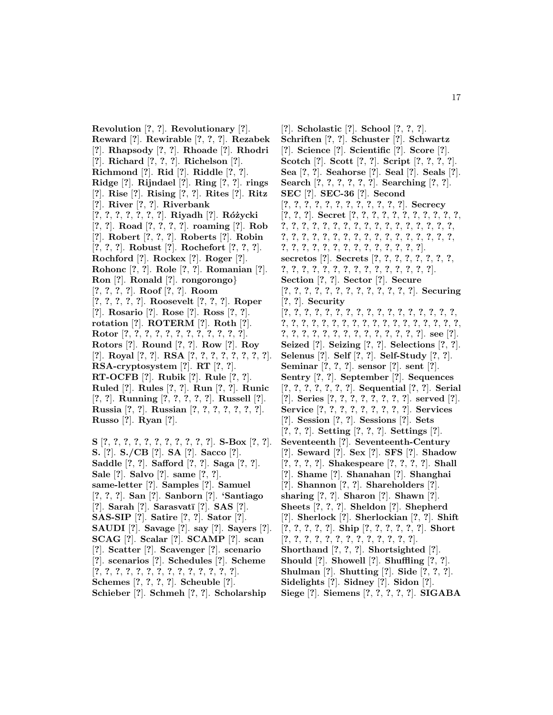**Revolution** [**?**, **?**]. **Revolutionary** [**?**]. **Reward** [**?**]. **Rewirable** [**?**, **?**, **?**]. **Rezabek** [**?**]. **Rhapsody** [**?**, **?**]. **Rhoade** [**?**]. **Rhodri** [**?**]. **Richard** [**?**, **?**, **?**]. **Richelson** [**?**]. **Richmond** [**?**]. **Rid** [**?**]. **Riddle** [**?**, **?**]. **Ridge** [**?**]. **Rijndael** [**?**]. **Ring** [**?**, **?**]. **rings** [**?**]. **Rise** [**?**]. **Rising** [**?**, **?**]. **Rites** [**?**]. **Ritz** [**?**]. **River** [**?**, **?**]. **Riverbank** [**?**, **?**, **?**, **?**, **?**, **?**, **?**]. **Riyadh** [**?**]. **R´o ˙zycki** [**?**, **?**]. **Road** [**?**, **?**, **?**, **?**]. **roaming** [**?**]. **Rob** [**?**]. **Robert** [**?**, **?**, **?**]. **Roberts** [**?**]. **Robin** [**?**, **?**, **?**]. **Robust** [**?**]. **Rochefort** [**?**, **?**, **?**]. **Rochford** [**?**]. **Rockex** [**?**]. **Roger** [**?**]. **Rohonc** [**?**, **?**]. **Role** [**?**, **?**]. **Romanian** [**?**]. **Ron** [**?**]. **Ronald** [**?**]. **rongorongo**} [**?**, **?**, **?**, **?**]. **Roof** [**?**, **?**]. **Room** [**?**, **?**, **?**, **?**, **?**]. **Roosevelt** [**?**, **?**, **?**]. **Roper** [**?**]. **Rosario** [**?**]. **Rose** [**?**]. **Ross** [**?**, **?**]. **rotation** [**?**]. **ROTERM** [**?**]. **Roth** [**?**]. **Rotor** [**?**, **?**, **?**, **?**, **?**, **?**, **?**, **?**, **?**, **?**, **?**, **?**]. **Rotors** [**?**]. **Round** [**?**, **?**]. **Row** [**?**]. **Roy** [**?**]. **Royal** [**?**, **?**]. **RSA** [**?**, **?**, **?**, **?**, **?**, **?**, **?**, **?**]. **RSA-cryptosystem** [**?**]. **RT** [**?**, **?**]. **RT-OCFB** [**?**]. **Rubik** [**?**]. **Rule** [**?**, **?**]. **Ruled** [**?**]. **Rules** [**?**, **?**]. **Run** [**?**, **?**]. **Runic** [**?**, **?**]. **Running** [**?**, **?**, **?**, **?**, **?**]. **Russell** [**?**]. **Russia** [**?**, **?**]. **Russian** [**?**, **?**, **?**, **?**, **?**, **?**, **?**]. **Russo** [**?**]. **Ryan** [**?**].

**S** [**?**, **?**, **?**, **?**, **?**, **?**, **?**, **?**, **?**, **?**, **?**]. **S-Box** [**?**, **?**]. **S.** [**?**]. **S./CB** [**?**]. **SA** [**?**]. **Sacco** [**?**]. **Saddle** [**?**, **?**]. **Safford** [**?**, **?**]. **Saga** [**?**, **?**]. **Sale** [**?**]. **Salvo** [**?**]. **same** [**?**, **?**]. **same-letter** [**?**]. **Samples** [**?**]. **Samuel** [**?**, **?**, **?**]. **San** [**?**]. **Sanborn** [**?**]. **'Santiago** [**?**]. **Sarah** [**?**]. **Sarasvat¯ı** [**?**]. **SAS** [**?**]. **SAS-SIP** [**?**]. **Satire** [**?**, **?**]. **Sator** [**?**]. **SAUDI** [**?**]. **Savage** [**?**]. **say** [**?**]. **Sayers** [**?**]. **SCAG** [**?**]. **Scalar** [**?**]. **SCAMP** [**?**]. **scan** [**?**]. **Scatter** [**?**]. **Scavenger** [**?**]. **scenario** [**?**]. **scenarios** [**?**]. **Schedules** [**?**]. **Scheme** [**?**, **?**, **?**, **?**, **?**, **?**, **?**, **?**, **?**, **?**, **?**, **?**, **?**, **?**]. **Schemes** [**?**, **?**, **?**, **?**]. **Scheuble** [**?**]. **Schieber** [**?**]. **Schmeh** [**?**, **?**]. **Scholarship**

[**?**]. **Scholastic** [**?**]. **School** [**?**, **?**, **?**]. **Schriften** [**?**, **?**]. **Schuster** [**?**]. **Schwartz** [**?**]. **Science** [**?**]. **Scientific** [**?**]. **Score** [**?**]. **Scotch** [**?**]. **Scott** [**?**, **?**]. **Script** [**?**, **?**, **?**, **?**]. **Sea** [**?**, **?**]. **Seahorse** [**?**]. **Seal** [**?**]. **Seals** [**?**]. **Search** [**?**, **?**, **?**, **?**, **?**, **?**]. **Searching** [**?**, **?**]. **SEC** [**?**]. **SEC-36** [**?**]. **Second** [**?**, **?**, **?**, **?**, **?**, **?**, **?**, **?**, **?**, **?**, **?**, **?**]. **Secrecy** [**?**, **?**, **?**]. **Secret** [**?**, **?**, **?**, **?**, **?**, **?**, **?**, **?**, **?**, **?**, **?**, **?**, **?**, **?**, **?**, **?**, **?**, **?**, **?**, **?**, **?**, **?**, **?**, **?**, **?**, **?**, **?**, **?**, **?**, **?**, **?**, **?**, **?**, **?**, **?**, **?**, **?**, **?**, **?**, **?**, **?**, **?**, **?**, **?**, **?**, **?**, **?**, **?**, **?**, **?**, **?**, **?**, **?**, **?**, **?**, **?**, **?**, **?**, **?**]. **secretos** [**?**]. **Secrets** [**?**, **?**, **?**, **?**, **?**, **?**, **?**, **?**, **?**, **?**, **?**, **?**, **?**, **?**, **?**, **?**, **?**, **?**, **?**, **?**, **?**, **?**, **?**]. **Section** [**?**, **?**]. **Sector** [**?**]. **Secure** [**?**, **?**, **?**, **?**, **?**, **?**, **?**, **?**, **?**, **?**, **?**, **?**, **?**]. **Securing** [**?**, **?**]. **Security** [**?**, **?**, **?**, **?**, **?**, **?**, **?**, **?**, **?**, **?**, **?**, **?**, **?**, **?**, **?**, **?**, **?**, **?**, **?**, **?**, **?**, **?**, **?**, **?**, **?**, **?**, **?**, **?**, **?**, **?**, **?**, **?**, **?**, **?**, **?**, **?**, **?**, **?**, **?**, **?**, **?**, **?**, **?**, **?**, **?**, **?**, **?**, **?**, **?**]. **see** [**?**]. **Seized** [**?**]. **Seizing** [**?**, **?**]. **Selections** [**?**, **?**]. **Selenus** [**?**]. **Self** [**?**, **?**]. **Self-Study** [**?**, **?**]. **Seminar** [**?**, **?**, **?**]. **sensor** [**?**]. **sent** [**?**]. **Sentry** [**?**, **?**]. **September** [**?**]. **Sequences** [**?**, **?**, **?**, **?**, **?**, **?**, **?**]. **Sequential** [**?**, **?**]. **Serial** [**?**]. **Series** [**?**, **?**, **?**, **?**, **?**, **?**, **?**, **?**]. **served** [**?**]. **Service** [**?**, **?**, **?**, **?**, **?**, **?**, **?**, **?**, **?**]. **Services** [**?**]. **Session** [**?**, **?**]. **Sessions** [**?**]. **Sets** [**?**, **?**, **?**]. **Setting** [**?**, **?**, **?**]. **Settings** [**?**]. **Seventeenth** [**?**]. **Seventeenth-Century** [**?**]. **Seward** [**?**]. **Sex** [**?**]. **SFS** [**?**]. **Shadow** [**?**, **?**, **?**, **?**]. **Shakespeare** [**?**, **?**, **?**, **?**]. **Shall** [**?**]. **Shame** [**?**]. **Shanahan** [**?**]. **Shanghai** [**?**]. **Shannon** [**?**, **?**]. **Shareholders** [**?**]. **sharing** [**?**, **?**]. **Sharon** [**?**]. **Shawn** [**?**]. **Sheets** [**?**, **?**, **?**]. **Sheldon** [**?**]. **Shepherd** [**?**]. **Sherlock** [**?**]. **Sherlockian** [**?**, **?**]. **Shift** [**?**, **?**, **?**, **?**, **?**]. **Ship** [**?**, **?**, **?**, **?**, **?**, **?**]. **Short** [**?**, **?**, **?**, **?**, **?**, **?**, **?**, **?**, **?**, **?**, **?**, **?**, **?**]. **Shorthand** [**?**, **?**, **?**]. **Shortsighted** [**?**]. **Should** [**?**]. **Showell** [**?**]. **Shuffling** [**?**, **?**]. **Shulman** [**?**]. **Shutting** [**?**]. **Side** [**?**, **?**, **?**]. **Sidelights** [**?**]. **Sidney** [**?**]. **Sidon** [**?**]. **Siege** [**?**]. **Siemens** [**?**, **?**, **?**, **?**, **?**]. **SIGABA**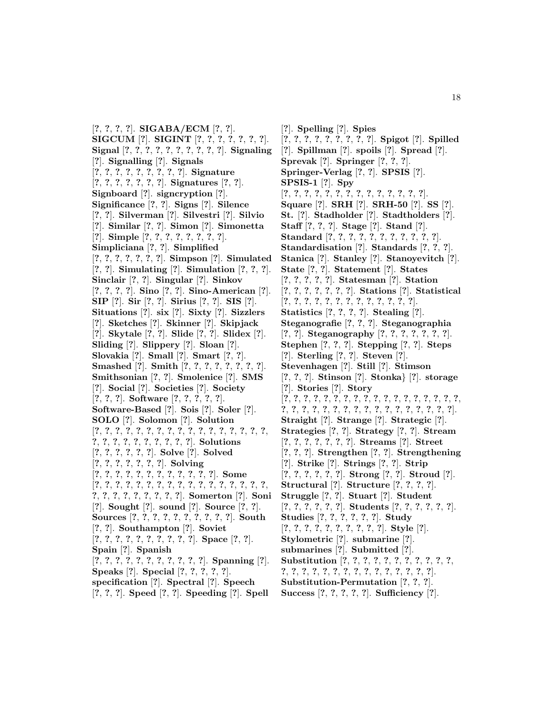[**?**, **?**, **?**, **?**]. **SIGABA/ECM** [**?**, **?**]. **SIGCUM** [**?**]. **SIGINT** [**?**, **?**, **?**, **?**, **?**, **?**, **?**]. **Signal** [**?**, **?**, **?**, **?**, **?**, **?**, **?**, **?**, **?**, **?**]. **Signaling** [**?**]. **Signalling** [**?**]. **Signals** [**?**, **?**, **?**, **?**, **?**, **?**, **?**, **?**, **?**]. **Signature** [**?**, **?**, **?**, **?**, **?**, **?**, **?**]. **Signatures** [**?**, **?**]. **Signboard** [**?**]. **signcryption** [**?**]. **Significance** [**?**, **?**]. **Signs** [**?**]. **Silence** [**?**, **?**]. **Silverman** [**?**]. **Silvestri** [**?**]. **Silvio** [**?**]. **Similar** [**?**, **?**]. **Simon** [**?**]. **Simonetta** [**?**]. **Simple** [**?**, **?**, **?**, **?**, **?**, **?**, **?**, **?**]. **Simpliciana** [**?**, **?**]. **Simplified** [**?**, **?**, **?**, **?**, **?**, **?**, **?**]. **Simpson** [**?**]. **Simulated** [**?**, **?**]. **Simulating** [**?**]. **Simulation** [**?**, **?**, **?**]. **Sinclair** [**?**, **?**]. **Singular** [**?**]. **Sinkov** [**?**, **?**, **?**, **?**]. **Sino** [**?**, **?**]. **Sino-American** [**?**]. **SIP** [**?**]. **Sir** [**?**, **?**]. **Sirius** [**?**, **?**]. **SIS** [**?**]. **Situations** [**?**]. **six** [**?**]. **Sixty** [**?**]. **Sizzlers** [**?**]. **Sketches** [**?**]. **Skinner** [**?**]. **Skipjack** [**?**]. **Skytale** [**?**, **?**]. **Slide** [**?**, **?**]. **Slidex** [**?**]. **Sliding** [**?**]. **Slippery** [**?**]. **Sloan** [**?**]. **Slovakia** [**?**]. **Small** [**?**]. **Smart** [**?**, **?**]. **Smashed** [**?**]. **Smith** [**?**, **?**, **?**, **?**, **?**, **?**, **?**, **?**]. **Smithsonian** [**?**, **?**]. **Smolenice** [**?**]. **SMS** [**?**]. **Social** [**?**]. **Societies** [**?**]. **Society** [**?**, **?**, **?**]. **Software** [**?**, **?**, **?**, **?**, **?**]. **Software-Based** [**?**]. **Sois** [**?**]. **Soler** [**?**]. **SOLO** [**?**]. **Solomon** [**?**]. **Solution** [**?**, **?**, **?**, **?**, **?**, **?**, **?**, **?**, **?**, **?**, **?**, **?**, **?**, **?**, **?**, **?**, **?**, **?**, **?**, **?**, **?**, **?**, **?**, **?**, **?**, **?**, **?**]. **Solutions** [**?**, **?**, **?**, **?**, **?**, **?**]. **Solve** [**?**]. **Solved** [**?**, **?**, **?**, **?**, **?**, **?**, **?**]. **Solving** [**?**, **?**, **?**, **?**, **?**, **?**, **?**, **?**, **?**, **?**, **?**, **?**]. **Some** [**?**, **?**, **?**, **?**, **?**, **?**, **?**, **?**, **?**, **?**, **?**, **?**, **?**, **?**, **?**, **?**, **?**, **?**, **?**, **?**, **?**, **?**, **?**, **?**, **?**, **?**]. **Somerton** [**?**]. **Soni** [**?**]. **Sought** [**?**]. **sound** [**?**]. **Source** [**?**, **?**]. **Sources** [**?**, **?**, **?**, **?**, **?**, **?**, **?**, **?**, **?**, **?**]. **South** [**?**, **?**]. **Southampton** [**?**]. **Soviet** [**?**, **?**, **?**, **?**, **?**, **?**, **?**, **?**, **?**, **?**]. **Space** [**?**, **?**]. **Spain** [**?**]. **Spanish** [**?**, **?**, **?**, **?**, **?**, **?**, **?**, **?**, **?**, **?**, **?**]. **Spanning** [**?**]. **Speaks** [**?**]. **Special** [**?**, **?**, **?**, **?**, **?**]. **specification** [**?**]. **Spectral** [**?**]. **Speech** [**?**, **?**, **?**]. **Speed** [**?**, **?**]. **Speeding** [**?**]. **Spell**

[**?**]. **Spelling** [**?**]. **Spies** [**?**, **?**, **?**, **?**, **?**, **?**, **?**, **?**, **?**]. **Spigot** [**?**]. **Spilled** [**?**]. **Spillman** [**?**]. **spoils** [**?**]. **Spread** [**?**]. **Sprevak** [**?**]. **Springer** [**?**, **?**, **?**]. **Springer-Verlag** [**?**, **?**]. **SPSIS** [**?**]. **SPSIS-1** [**?**]. **Spy** [**?**, **?**, **?**, **?**, **?**, **?**, **?**, **?**, **?**, **?**, **?**, **?**, **?**, **?**]. **Square** [**?**]. **SRH** [**?**]. **SRH-50** [**?**]. **SS** [**?**]. **St.** [**?**]. **Stadholder** [**?**]. **Stadtholders** [**?**]. **Staff** [**?**, **?**, **?**]. **Stage** [**?**]. **Stand** [**?**]. **Standard** [**?**, **?**, **?**, **?**, **?**, **?**, **?**, **?**, **?**, **?**, **?**]. **Standardisation** [**?**]. **Standards** [**?**, **?**, **?**]. **Stanica** [**?**]. **Stanley** [**?**]. **Stanoyevitch** [**?**]. **State** [**?**, **?**]. **Statement** [**?**]. **States** [**?**, **?**, **?**, **?**, **?**]. **Statesman** [**?**]. **Station** [**?**, **?**, **?**, **?**, **?**, **?**, **?**]. **Stations** [**?**]. **Statistical** [**?**, **?**, **?**, **?**, **?**, **?**, **?**, **?**, **?**, **?**, **?**, **?**, **?**]. **Statistics** [**?**, **?**, **?**, **?**]. **Stealing** [**?**]. **Steganografie** [**?**, **?**, **?**]. **Steganographia** [**?**, **?**]. **Steganography** [**?**, **?**, **?**, **?**, **?**, **?**, **?**]. **Stephen** [**?**, **?**, **?**]. **Stepping** [**?**, **?**]. **Steps** [**?**]. **Sterling** [**?**, **?**]. **Steven** [**?**]. **Stevenhagen** [**?**]. **Still** [**?**]. **Stimson** [**?**, **?**, **?**]. **Stinson** [**?**]. **Stonka**} [**?**]. **storage** [**?**]. **Stories** [**?**]. **Story** [**?**, **?**, **?**, **?**, **?**, **?**, **?**, **?**, **?**, **?**, **?**, **?**, **?**, **?**, **?**, **?**, **?**, **?**, **?**, **?**, **?**, **?**, **?**, **?**, **?**, **?**, **?**, **?**, **?**, **?**, **?**, **?**, **?**, **?**, **?**]. **Straight** [**?**]. **Strange** [**?**]. **Strategic** [**?**]. **Strategies** [**?**, **?**]. **Strategy** [**?**, **?**]. **Stream** [**?**, **?**, **?**, **?**, **?**, **?**, **?**]. **Streams** [**?**]. **Street** [**?**, **?**, **?**]. **Strengthen** [**?**, **?**]. **Strengthening** [**?**]. **Strike** [**?**]. **Strings** [**?**, **?**]. **Strip** [**?**, **?**, **?**, **?**, **?**, **?**]. **Strong** [**?**, **?**]. **Stroud** [**?**]. **Structural** [**?**]. **Structure** [**?**, **?**, **?**, **?**]. **Struggle** [**?**, **?**]. **Stuart** [**?**]. **Student** [**?**, **?**, **?**, **?**, **?**, **?**]. **Students** [**?**, **?**, **?**, **?**, **?**, **?**]. **Studies** [**?**, **?**, **?**, **?**, **?**, **?**]. **Study** [**?**, **?**, **?**, **?**, **?**, **?**, **?**, **?**, **?**, **?**]. **Style** [**?**]. **Stylometric** [**?**]. **submarine** [**?**]. **submarines** [**?**]. **Submitted** [**?**]. **Substitution** [**?**, **?**, **?**, **?**, **?**, **?**, **?**, **?**, **?**, **?**, **?**, **?**, **?**, **?**, **?**, **?**, **?**, **?**, **?**, **?**, **?**, **?**, **?**, **?**, **?**, **?**]. **Substitution-Permutation** [**?**, **?**, **?**]. **Success** [**?**, **?**, **?**, **?**, **?**]. **Sufficiency** [**?**].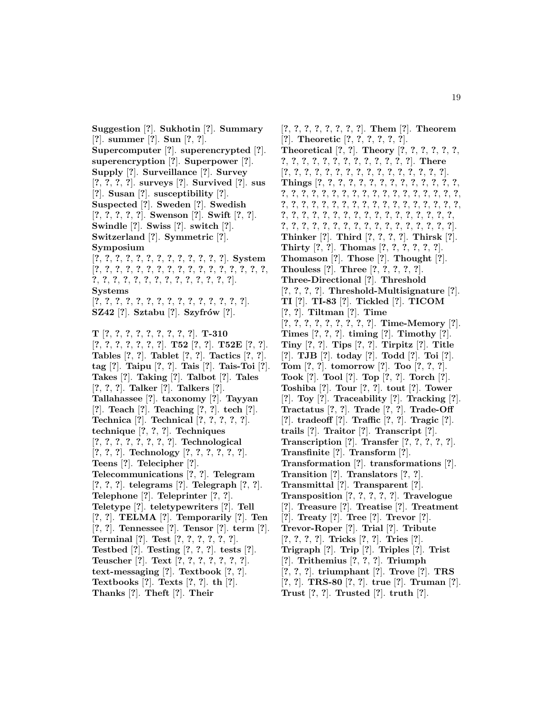**Suggestion** [**?**]. **Sukhotin** [**?**]. **Summary** [**?**]. **summer** [**?**]. **Sun** [**?**, **?**]. **Supercomputer** [**?**]. **superencrypted** [**?**]. **superencryption** [**?**]. **Superpower** [**?**]. **Supply** [**?**]. **Surveillance** [**?**]. **Survey** [**?**, **?**, **?**, **?**]. **surveys** [**?**]. **Survived** [**?**]. **sus** [**?**]. **Susan** [**?**]. **susceptibility** [**?**]. **Suspected** [**?**]. **Sweden** [**?**]. **Swedish** [**?**, **?**, **?**, **?**, **?**]. **Swenson** [**?**]. **Swift** [**?**, **?**]. **Swindle** [**?**]. **Swiss** [**?**]. **switch** [**?**]. **Switzerland** [**?**]. **Symmetric** [**?**]. **Symposium** [**?**, **?**, **?**, **?**, **?**, **?**, **?**, **?**, **?**, **?**, **?**, **?**, **?**]. **System** [**?**, **?**, **?**, **?**, **?**, **?**, **?**, **?**, **?**, **?**, **?**, **?**, **?**, **?**, **?**, **?**, **?**, **?**, **?**, **?**, **?**, **?**, **?**, **?**, **?**, **?**, **?**, **?**, **?**, **?**, **?**]. **Systems** [**?**, **?**, **?**, **?**, **?**, **?**, **?**, **?**, **?**, **?**, **?**, **?**, **?**, **?**, **?**]. **SZ42** [**?**]. **Sztabu** [**?**]. **Szyfr´ow** [**?**]. **T** [**?**, **?**, **?**, **?**, **?**, **?**, **?**, **?**, **?**]. **T-310** [**?**, **?**, **?**, **?**, **?**, **?**, **?**]. **T52** [**?**, **?**]. **T52E** [**?**, **?**]. **Tables** [**?**, **?**]. **Tablet** [**?**, **?**]. **Tactics** [**?**, **?**]. **tag** [**?**]. **Taipu** [**?**, **?**]. **Tais** [**?**]. **Tais-Toi** [**?**]. **Takes** [**?**]. **Taking** [**?**]. **Talbot** [**?**]. **Tales** [**?**, **?**, **?**]. **Talker** [**?**]. **Talkers** [**?**]. **Tallahassee** [**?**]. **taxonomy** [**?**]. **Tayyan** [**?**]. **Teach** [**?**]. **Teaching** [**?**, **?**]. **tech** [**?**]. **Technica** [**?**]. **Technical** [**?**, **?**, **?**, **?**, **?**]. **technique** [**?**, **?**, **?**]. **Techniques** [**?**, **?**, **?**, **?**, **?**, **?**, **?**, **?**]. **Technological** [**?**, **?**, **?**]. **Technology** [**?**, **?**, **?**, **?**, **?**, **?**]. **Teens** [**?**]. **Telecipher** [**?**]. **Telecommunications** [**?**, **?**]. **Telegram** [**?**, **?**, **?**]. **telegrams** [**?**]. **Telegraph** [**?**, **?**]. **Telephone** [**?**]. **Teleprinter** [**?**, **?**]. **Teletype** [**?**]. **teletypewriters** [**?**]. **Tell** [**?**, **?**]. **TELMA** [**?**]. **Temporarily** [**?**]. **Ten** [**?**, **?**]. **Tennessee** [**?**]. **Tensor** [**?**]. **term** [**?**]. **Terminal** [**?**]. **Test** [**?**, **?**, **?**, **?**, **?**, **?**]. **Testbed** [**?**]. **Testing** [**?**, **?**, **?**]. **tests** [**?**]. **Teuscher** [**?**]. **Text** [**?**, **?**, **?**, **?**, **?**, **?**, **?**]. **text-messaging** [**?**]. **Textbook** [**?**, **?**]. **Textbooks** [**?**]. **Texts** [**?**, **?**]. **th** [**?**]. **Thanks** [**?**]. **Theft** [**?**]. **Their**

[**?**, **?**, **?**, **?**, **?**, **?**, **?**, **?**]. **Them** [**?**]. **Theorem** [**?**]. **Theoretic** [**?**, **?**, **?**, **?**, **?**, **?**]. **Theoretical** [**?**, **?**]. **Theory** [**?**, **?**, **?**, **?**, **?**, **?**, **?**, **?**, **?**, **?**, **?**, **?**, **?**, **?**, **?**, **?**, **?**, **?**, **?**]. **There** [**?**, **?**, **?**, **?**, **?**, **?**, **?**, **?**, **?**, **?**, **?**, **?**, **?**, **?**, **?**, **?**]. **Things** [**?**, **?**, **?**, **?**, **?**, **?**, **?**, **?**, **?**, **?**, **?**, **?**, **?**, **?**, **?**, **?**, **?**, **?**, **?**, **?**, **?**, **?**, **?**, **?**, **?**, **?**, **?**, **?**, **?**, **?**, **?**, **?**, **?**, **?**, **?**, **?**, **?**, **?**, **?**, **?**, **?**, **?**, **?**, **?**, **?**, **?**, **?**, **?**, **?**, **?**, **?**, **?**, **?**, **?**, **?**, **?**, **?**, **?**, **?**, **?**, **?**, **?**, **?**, **?**, **?**, **?**, **?**, **?**, **?**, **?**, **?**, **?**, **?**, **?**, **?**, **?**, **?**, **?**, **?**, **?**, **?**, **?**, **?**, **?**]. **Thinker** [**?**]. **Third** [**?**, **?**, **?**, **?**]. **Thirsk** [**?**]. **Thirty** [**?**, **?**]. **Thomas** [**?**, **?**, **?**, **?**, **?**, **?**]. **Thomason** [**?**]. **Those** [**?**]. **Thought** [**?**]. **Thouless** [**?**]. **Three** [**?**, **?**, **?**, **?**, **?**]. **Three-Directional** [**?**]. **Threshold** [**?**, **?**, **?**, **?**]. **Threshold-Multisignature** [**?**]. **TI** [**?**]. **TI-83** [**?**]. **Tickled** [**?**]. **TICOM** [**?**, **?**]. **Tiltman** [**?**]. **Time** [**?**, **?**, **?**, **?**, **?**, **?**, **?**, **?**, **?**]. **Time-Memory** [**?**]. **Times** [**?**, **?**, **?**]. **timing** [**?**]. **Timothy** [**?**]. **Tiny** [**?**, **?**]. **Tips** [**?**, **?**]. **Tirpitz** [**?**]. **Title** [**?**]. **TJB** [**?**]. **today** [**?**]. **Todd** [**?**]. **Toi** [**?**]. **Tom** [**?**, **?**]. **tomorrow** [**?**]. **Too** [**?**, **?**, **?**]. **Took** [**?**]. **Tool** [**?**]. **Top** [**?**, **?**]. **Torch** [**?**]. **Toshiba** [**?**]. **Tour** [**?**, **?**]. **tout** [**?**]. **Tower** [**?**]. **Toy** [**?**]. **Traceability** [**?**]. **Tracking** [**?**]. **Tractatus** [**?**, **?**]. **Trade** [**?**, **?**]. **Trade-Off** [**?**]. **tradeoff** [**?**]. **Traffic** [**?**, **?**]. **Tragic** [**?**]. **trails** [**?**]. **Traitor** [**?**]. **Transcript** [**?**]. **Transcription** [**?**]. **Transfer** [**?**, **?**, **?**, **?**, **?**]. **Transfinite** [**?**]. **Transform** [**?**]. **Transformation** [**?**]. **transformations** [**?**]. **Transition** [**?**]. **Translators** [**?**, **?**]. **Transmittal** [**?**]. **Transparent** [**?**]. **Transposition** [**?**, **?**, **?**, **?**, **?**]. **Travelogue** [**?**]. **Treasure** [**?**]. **Treatise** [**?**]. **Treatment** [**?**]. **Treaty** [**?**]. **Tree** [**?**]. **Trevor** [**?**]. **Trevor-Roper** [**?**]. **Trial** [**?**]. **Tribute** [**?**, **?**, **?**, **?**]. **Tricks** [**?**, **?**]. **Tries** [**?**]. **Trigraph** [**?**]. **Trip** [**?**]. **Triples** [**?**]. **Trist** [**?**]. **Trithemius** [**?**, **?**, **?**]. **Triumph** [**?**, **?**, **?**]. **triumphant** [**?**]. **Trove** [**?**]. **TRS** [**?**, **?**]. **TRS-80** [**?**, **?**]. **true** [**?**]. **Truman** [**?**]. **Trust** [**?**, **?**]. **Trusted** [**?**]. **truth** [**?**].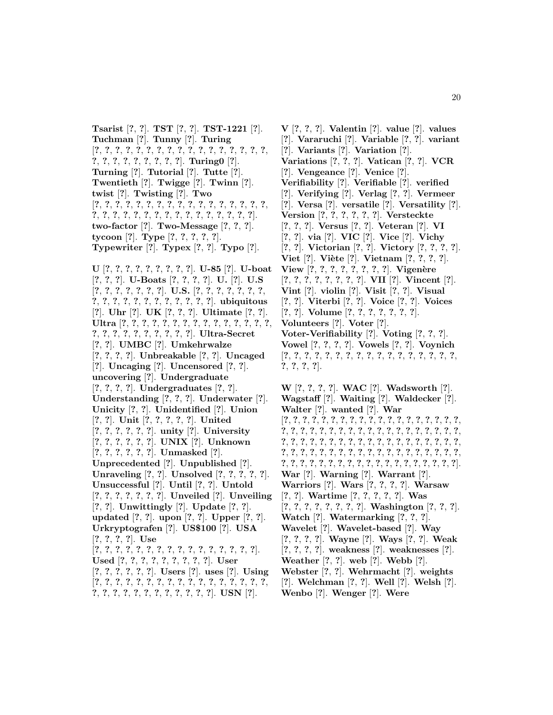**Tsarist** [**?**, **?**]. **TST** [**?**, **?**]. **TST-1221** [**?**]. **Tuchman** [**?**]. **Tunny** [**?**]. **Turing** [**?**, **?**, **?**, **?**, **?**, **?**, **?**, **?**, **?**, **?**, **?**, **?**, **?**, **?**, **?**, **?**, **?**, **?**, **?**, **?**, **?**, **?**, **?**, **?**, **?**, **?**]. **Turing0** [**?**]. **Turning** [**?**]. **Tutorial** [**?**]. **Tutte** [**?**]. **Twentieth** [**?**]. **Twigge** [**?**]. **Twinn** [**?**]. **twist** [**?**]. **Twisting** [**?**]. **Two** [**?**, **?**, **?**, **?**, **?**, **?**, **?**, **?**, **?**, **?**, **?**, **?**, **?**, **?**, **?**, **?**, **?**, **?**, **?**, **?**, **?**, **?**, **?**, **?**, **?**, **?**, **?**, **?**, **?**, **?**, **?**, **?**, **?**]. **two-factor** [**?**]. **Two-Message** [**?**, **?**, **?**]. **tycoon** [**?**]. **Type** [**?**, **?**, **?**, **?**, **?**]. **Typewriter** [**?**]. **Typex** [**?**, **?**]. **Typo** [**?**].

**U** [**?**, **?**, **?**, **?**, **?**, **?**, **?**, **?**, **?**]. **U-85** [**?**]. **U-boat** [**?**, **?**, **?**]. **U-Boats** [**?**, **?**, **?**, **?**]. **U.** [**?**]. **U.S** [**?**, **?**, **?**, **?**, **?**, **?**, **?**]. **U.S.** [**?**, **?**, **?**, **?**, **?**, **?**, **?**, **?**, **?**, **?**, **?**, **?**, **?**, **?**, **?**, **?**, **?**, **?**, **?**]. **ubiquitous** [**?**]. **Uhr** [**?**]. **UK** [**?**, **?**, **?**]. **Ultimate** [**?**, **?**]. **Ultra** [**?**, **?**, **?**, **?**, **?**, **?**, **?**, **?**, **?**, **?**, **?**, **?**, **?**, **?**, **?**, **?**, **?**, **?**, **?**, **?**, **?**, **?**, **?**, **?**, **?**]. **Ultra-Secret** [**?**, **?**]. **UMBC** [**?**]. **Umkehrwalze** [**?**, **?**, **?**, **?**]. **Unbreakable** [**?**, **?**]. **Uncaged** [**?**]. **Uncaging** [**?**]. **Uncensored** [**?**, **?**]. **uncovering** [**?**]. **Undergraduate** [**?**, **?**, **?**, **?**]. **Undergraduates** [**?**, **?**]. **Understanding** [**?**, **?**, **?**]. **Underwater** [**?**]. **Unicity** [**?**, **?**]. **Unidentified** [**?**]. **Union** [**?**, **?**]. **Unit** [**?**, **?**, **?**, **?**, **?**]. **United** [**?**, **?**, **?**, **?**, **?**, **?**]. **unity** [**?**]. **University** [**?**, **?**, **?**, **?**, **?**, **?**]. **UNIX** [**?**]. **Unknown** [**?**, **?**, **?**, **?**, **?**, **?**]. **Unmasked** [**?**]. **Unprecedented** [**?**]. **Unpublished** [**?**]. **Unraveling** [**?**, **?**]. **Unsolved** [**?**, **?**, **?**, **?**, **?**]. **Unsuccessful** [**?**]. **Until** [**?**, **?**]. **Untold** [**?**, **?**, **?**, **?**, **?**, **?**, **?**]. **Unveiled** [**?**]. **Unveiling** [**?**, **?**]. **Unwittingly** [**?**]. **Update** [**?**, **?**]. **updated** [**?**, **?**]. **upon** [**?**, **?**]. **Upper** [**?**, **?**]. **Urkryptografen** [**?**]. **US\$100** [**?**]. **USA** [**?**, **?**, **?**, **?**]. **Use** [**?**, **?**, **?**, **?**, **?**, **?**, **?**, **?**, **?**, **?**, **?**, **?**, **?**, **?**, **?**, **?**]. **Used** [**?**, **?**, **?**, **?**, **?**, **?**, **?**, **?**, **?**]. **User** [**?**, **?**, **?**, **?**, **?**, **?**]. **Users** [**?**]. **uses** [**?**]. **Using** [**?**, **?**, **?**, **?**, **?**, **?**, **?**, **?**, **?**, **?**, **?**, **?**, **?**, **?**, **?**, **?**, **?**,

**?**, **?**, **?**, **?**, **?**, **?**, **?**, **?**, **?**, **?**, **?**, **?**]. **USN** [**?**].

**V** [**?**, **?**, **?**]. **Valentin** [**?**]. **value** [**?**]. **values** [**?**]. **Vararuchi** [**?**]. **Variable** [**?**, **?**]. **variant** [**?**]. **Variants** [**?**]. **Variation** [**?**]. **Variations** [**?**, **?**, **?**]. **Vatican** [**?**, **?**]. **VCR** [**?**]. **Vengeance** [**?**]. **Venice** [**?**]. **Verifiability** [**?**]. **Verifiable** [**?**]. **verified** [**?**]. **Verifying** [**?**]. **Verlag** [**?**, **?**]. **Vermeer** [**?**]. **Versa** [**?**]. **versatile** [**?**]. **Versatility** [**?**]. **Version** [**?**, **?**, **?**, **?**, **?**, **?**]. **Versteckte** [**?**, **?**, **?**]. **Versus** [**?**, **?**]. **Veteran** [**?**]. **VI** [**?**, **?**]. **via** [**?**]. **VIC** [**?**]. **Vice** [**?**]. **Vichy** [**?**, **?**]. **Victorian** [**?**, **?**]. **Victory** [**?**, **?**, **?**, **?**]. **Viet** [**?**]. **Vi`ete** [**?**]. **Vietnam** [**?**, **?**, **?**, **?**]. **View** [**?**, **?**, **?**, **?**, **?**, **?**, **?**, **?**]. **Vigen`ere** [**?**, **?**, **?**, **?**, **?**, **?**, **?**, **?**]. **VII** [**?**]. **Vincent** [**?**]. **Vint** [**?**]. **violin** [**?**]. **Visit** [**?**, **?**]. **Visual** [**?**, **?**]. **Viterbi** [**?**, **?**]. **Voice** [**?**, **?**]. **Voices** [**?**, **?**]. **Volume** [**?**, **?**, **?**, **?**, **?**, **?**, **?**]. **Volunteers** [**?**]. **Voter** [**?**]. **Voter-Verifiability** [**?**]. **Voting** [**?**, **?**, **?**]. **Vowel** [**?**, **?**, **?**, **?**]. **Vowels** [**?**, **?**]. **Voynich** [**?**, **?**, **?**, **?**, **?**, **?**, **?**, **?**, **?**, **?**, **?**, **?**, **?**, **?**, **?**, **?**, **?**, **?**, **?**, **?**, **?**].

**W** [**?**, **?**, **?**, **?**]. **WAC** [**?**]. **Wadsworth** [**?**]. **Wagstaff** [**?**]. **Waiting** [**?**]. **Waldecker** [**?**]. **Walter** [**?**]. **wanted** [**?**]. **War** [**?**, **?**, **?**, **?**, **?**, **?**, **?**, **?**, **?**, **?**, **?**, **?**, **?**, **?**, **?**, **?**, **?**, **?**, **?**, **?**, **?**, **?**, **?**, **?**, **?**, **?**, **?**, **?**, **?**, **?**, **?**, **?**, **?**, **?**, **?**, **?**, **?**, **?**, **?**, **?**, **?**, **?**, **?**, **?**, **?**, **?**, **?**, **?**, **?**, **?**, **?**, **?**, **?**, **?**, **?**, **?**, **?**, **?**, **?**, **?**, **?**, **?**, **?**, **?**, **?**, **?**, **?**, **?**, **?**, **?**, **?**, **?**, **?**, **?**, **?**, **?**, **?**, **?**, **?**, **?**, **?**, **?**, **?**, **?**, **?**, **?**, **?**, **?**, **?**, **?**, **?**, **?**, **?**, **?**, **?**]. **War** [**?**]. **Warning** [**?**]. **Warrant** [**?**]. **Warriors** [**?**]. **Wars** [**?**, **?**, **?**, **?**]. **Warsaw** [**?**, **?**]. **Wartime** [**?**, **?**, **?**, **?**, **?**]. **Was** [**?**, **?**, **?**, **?**, **?**, **?**, **?**, **?**]. **Washington** [**?**, **?**, **?**]. **Watch** [**?**]. **Watermarking** [**?**, **?**, **?**]. **Wavelet** [**?**]. **Wavelet-based** [**?**]. **Way** [**?**, **?**, **?**, **?**]. **Wayne** [**?**]. **Ways** [**?**, **?**]. **Weak** [**?**, **?**, **?**, **?**]. **weakness** [**?**]. **weaknesses** [**?**]. **Weather** [**?**, **?**]. **web** [**?**]. **Webb** [**?**]. **Webster** [**?**, **?**]. **Wehrmacht** [**?**]. **weights** [**?**]. **Welchman** [**?**, **?**]. **Well** [**?**]. **Welsh** [**?**]. **Wenbo** [**?**]. **Wenger** [**?**]. **Were**